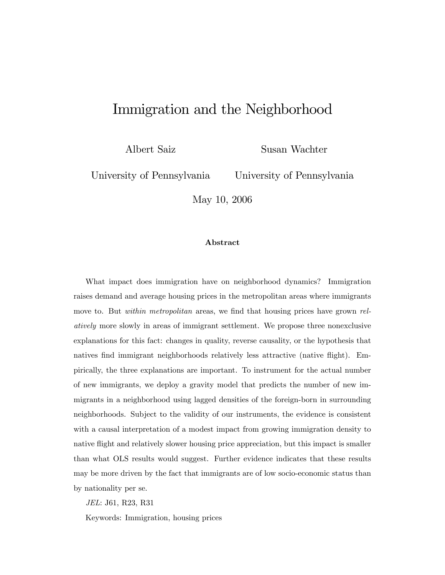# Immigration and the Neighborhood

Albert Saiz

Susan Wachter

University of Pennsylvania

University of Pennsylvania

May 10, 2006

#### Abstract

What impact does immigration have on neighborhood dynamics? Immigration raises demand and average housing prices in the metropolitan areas where immigrants move to. But within metropolitan areas, we find that housing prices have grown relatively more slowly in areas of immigrant settlement. We propose three nonexclusive explanations for this fact: changes in quality, reverse causality, or the hypothesis that natives find immigrant neighborhoods relatively less attractive (native flight). Empirically, the three explanations are important. To instrument for the actual number of new immigrants, we deploy a gravity model that predicts the number of new immigrants in a neighborhood using lagged densities of the foreign-born in surrounding neighborhoods. Subject to the validity of our instruments, the evidence is consistent with a causal interpretation of a modest impact from growing immigration density to native flight and relatively slower housing price appreciation, but this impact is smaller than what OLS results would suggest. Further evidence indicates that these results may be more driven by the fact that immigrants are of low socio-economic status than by nationality per se.

JEL: J61, R23, R31

Keywords: Immigration, housing prices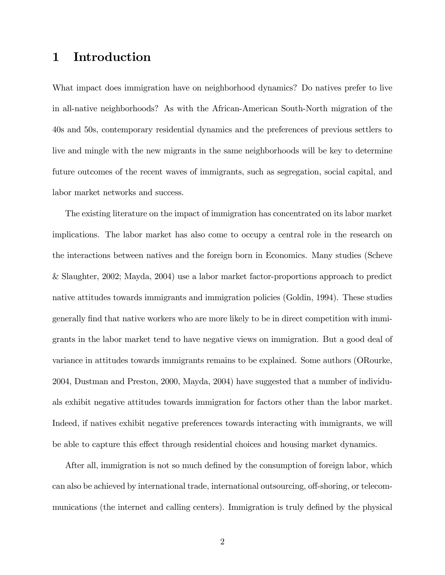### 1 Introduction

What impact does immigration have on neighborhood dynamics? Do natives prefer to live in all-native neighborhoods? As with the African-American South-North migration of the 40s and 50s, contemporary residential dynamics and the preferences of previous settlers to live and mingle with the new migrants in the same neighborhoods will be key to determine future outcomes of the recent waves of immigrants, such as segregation, social capital, and labor market networks and success.

The existing literature on the impact of immigration has concentrated on its labor market implications. The labor market has also come to occupy a central role in the research on the interactions between natives and the foreign born in Economics. Many studies (Scheve & Slaughter, 2002; Mayda, 2004) use a labor market factor-proportions approach to predict native attitudes towards immigrants and immigration policies (Goldin, 1994). These studies generally find that native workers who are more likely to be in direct competition with immigrants in the labor market tend to have negative views on immigration. But a good deal of variance in attitudes towards immigrants remains to be explained. Some authors (ORourke, 2004, Dustman and Preston, 2000, Mayda, 2004) have suggested that a number of individuals exhibit negative attitudes towards immigration for factors other than the labor market. Indeed, if natives exhibit negative preferences towards interacting with immigrants, we will be able to capture this effect through residential choices and housing market dynamics.

After all, immigration is not so much defined by the consumption of foreign labor, which can also be achieved by international trade, international outsourcing, off-shoring, or telecommunications (the internet and calling centers). Immigration is truly defined by the physical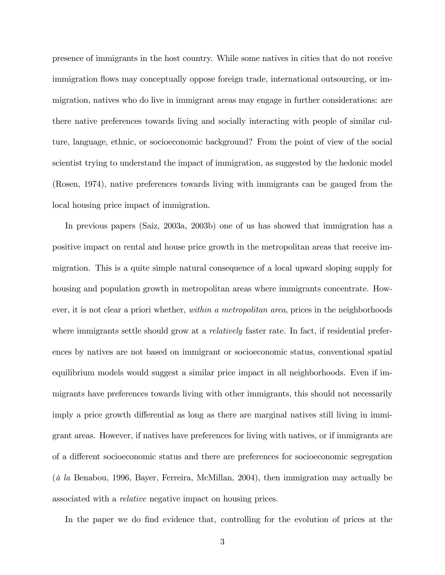presence of immigrants in the host country. While some natives in cities that do not receive immigration flows may conceptually oppose foreign trade, international outsourcing, or immigration, natives who do live in immigrant areas may engage in further considerations: are there native preferences towards living and socially interacting with people of similar culture, language, ethnic, or socioeconomic background? From the point of view of the social scientist trying to understand the impact of immigration, as suggested by the hedonic model (Rosen, 1974), native preferences towards living with immigrants can be gauged from the local housing price impact of immigration.

In previous papers (Saiz, 2003a, 2003b) one of us has showed that immigration has a positive impact on rental and house price growth in the metropolitan areas that receive immigration. This is a quite simple natural consequence of a local upward sloping supply for housing and population growth in metropolitan areas where immigrants concentrate. However, it is not clear a priori whether, *within a metropolitan area*, prices in the neighborhoods where immigrants settle should grow at a *relatively* faster rate. In fact, if residential preferences by natives are not based on immigrant or socioeconomic status, conventional spatial equilibrium models would suggest a similar price impact in all neighborhoods. Even if immigrants have preferences towards living with other immigrants, this should not necessarily imply a price growth differential as long as there are marginal natives still living in immigrant areas. However, if natives have preferences for living with natives, or if immigrants are of a different socioeconomic status and there are preferences for socioeconomic segregation ( $\dot{a}$  la Benabou, 1996, Bayer, Ferreira, McMillan, 2004), then immigration may actually be associated with a relative negative impact on housing prices.

In the paper we do find evidence that, controlling for the evolution of prices at the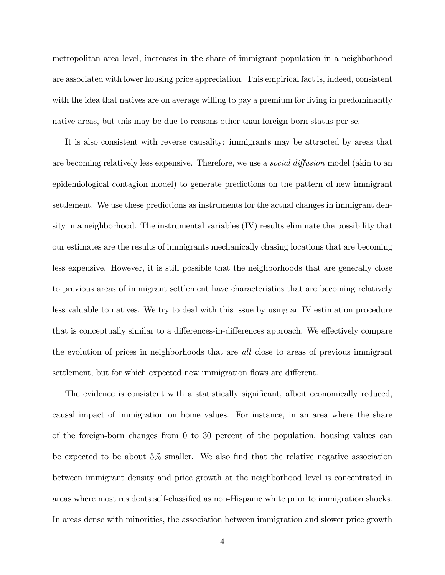metropolitan area level, increases in the share of immigrant population in a neighborhood are associated with lower housing price appreciation. This empirical fact is, indeed, consistent with the idea that natives are on average willing to pay a premium for living in predominantly native areas, but this may be due to reasons other than foreign-born status per se.

It is also consistent with reverse causality: immigrants may be attracted by areas that are becoming relatively less expensive. Therefore, we use a *social diffusion* model (akin to an epidemiological contagion model) to generate predictions on the pattern of new immigrant settlement. We use these predictions as instruments for the actual changes in immigrant density in a neighborhood. The instrumental variables (IV) results eliminate the possibility that our estimates are the results of immigrants mechanically chasing locations that are becoming less expensive. However, it is still possible that the neighborhoods that are generally close to previous areas of immigrant settlement have characteristics that are becoming relatively less valuable to natives. We try to deal with this issue by using an IV estimation procedure that is conceptually similar to a differences-in-differences approach. We effectively compare the evolution of prices in neighborhoods that are all close to areas of previous immigrant settlement, but for which expected new immigration flows are different.

The evidence is consistent with a statistically significant, albeit economically reduced, causal impact of immigration on home values. For instance, in an area where the share of the foreign-born changes from 0 to 30 percent of the population, housing values can be expected to be about  $5\%$  smaller. We also find that the relative negative association between immigrant density and price growth at the neighborhood level is concentrated in areas where most residents self-classified as non-Hispanic white prior to immigration shocks. In areas dense with minorities, the association between immigration and slower price growth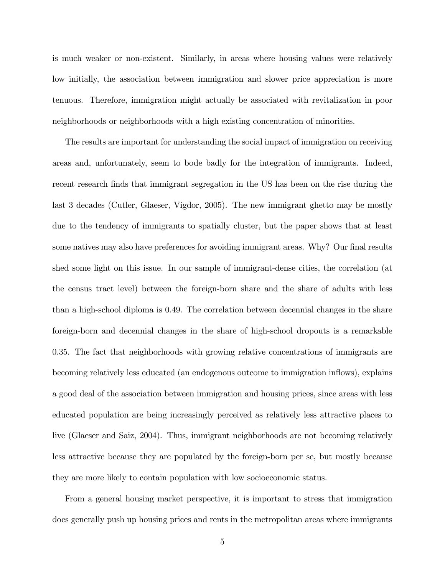is much weaker or non-existent. Similarly, in areas where housing values were relatively low initially, the association between immigration and slower price appreciation is more tenuous. Therefore, immigration might actually be associated with revitalization in poor neighborhoods or neighborhoods with a high existing concentration of minorities.

The results are important for understanding the social impact of immigration on receiving areas and, unfortunately, seem to bode badly for the integration of immigrants. Indeed, recent research finds that immigrant segregation in the US has been on the rise during the last 3 decades (Cutler, Glaeser, Vigdor, 2005). The new immigrant ghetto may be mostly due to the tendency of immigrants to spatially cluster, but the paper shows that at least some natives may also have preferences for avoiding immigrant areas. Why? Our final results shed some light on this issue. In our sample of immigrant-dense cities, the correlation (at the census tract level) between the foreign-born share and the share of adults with less than a high-school diploma is 0.49. The correlation between decennial changes in the share foreign-born and decennial changes in the share of high-school dropouts is a remarkable 0.35. The fact that neighborhoods with growing relative concentrations of immigrants are becoming relatively less educated (an endogenous outcome to immigration ináows), explains a good deal of the association between immigration and housing prices, since areas with less educated population are being increasingly perceived as relatively less attractive places to live (Glaeser and Saiz, 2004). Thus, immigrant neighborhoods are not becoming relatively less attractive because they are populated by the foreign-born per se, but mostly because they are more likely to contain population with low socioeconomic status.

From a general housing market perspective, it is important to stress that immigration does generally push up housing prices and rents in the metropolitan areas where immigrants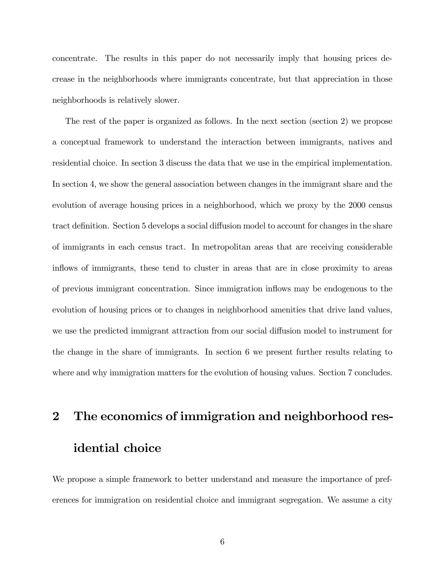concentrate. The results in this paper do not necessarily imply that housing prices decrease in the neighborhoods where immigrants concentrate, but that appreciation in those neighborhoods is relatively slower.

The rest of the paper is organized as follows. In the next section (section 2) we propose a conceptual framework to understand the interaction between immigrants, natives and residential choice. In section 3 discuss the data that we use in the empirical implementation. In section 4, we show the general association between changes in the immigrant share and the evolution of average housing prices in a neighborhood, which we proxy by the 2000 census tract definition. Section 5 develops a social diffusion model to account for changes in the share of immigrants in each census tract. In metropolitan areas that are receiving considerable inflows of immigrants, these tend to cluster in areas that are in close proximity to areas of previous immigrant concentration. Since immigration ináows may be endogenous to the evolution of housing prices or to changes in neighborhood amenities that drive land values, we use the predicted immigrant attraction from our social diffusion model to instrument for the change in the share of immigrants. In section 6 we present further results relating to where and why immigration matters for the evolution of housing values. Section 7 concludes.

# 2 The economics of immigration and neighborhood residential choice

We propose a simple framework to better understand and measure the importance of preferences for immigration on residential choice and immigrant segregation. We assume a city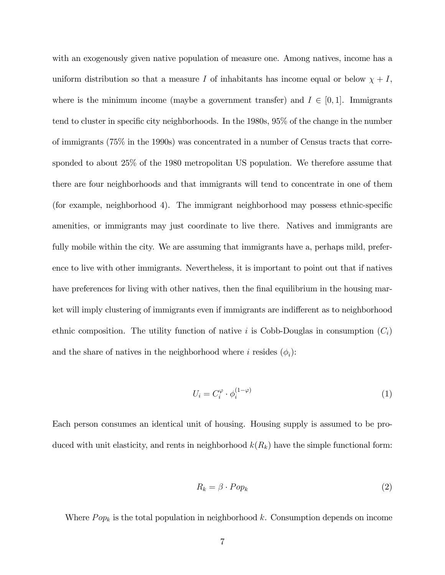with an exogenously given native population of measure one. Among natives, income has a uniform distribution so that a measure I of inhabitants has income equal or below  $\chi + I$ , where is the minimum income (maybe a government transfer) and  $I \in [0, 1]$ . Immigrants tend to cluster in specific city neighborhoods. In the 1980s, 95% of the change in the number of immigrants (75% in the 1990s) was concentrated in a number of Census tracts that corresponded to about 25% of the 1980 metropolitan US population. We therefore assume that there are four neighborhoods and that immigrants will tend to concentrate in one of them (for example, neighborhood 4). The immigrant neighborhood may possess ethnic-specific amenities, or immigrants may just coordinate to live there. Natives and immigrants are fully mobile within the city. We are assuming that immigrants have a, perhaps mild, preference to live with other immigrants. Nevertheless, it is important to point out that if natives have preferences for living with other natives, then the final equilibrium in the housing market will imply clustering of immigrants even if immigrants are indifferent as to neighborhood ethnic composition. The utility function of native i is Cobb-Douglas in consumption  $(C_i)$ and the share of natives in the neighborhood where *i* resides  $(\phi_i)$ :

$$
U_i = C_i^{\varphi} \cdot \phi_i^{(1-\varphi)} \tag{1}
$$

Each person consumes an identical unit of housing. Housing supply is assumed to be produced with unit elasticity, and rents in neighborhood  $k(R_k)$  have the simple functional form:

$$
R_k = \beta \cdot Pop_k \tag{2}
$$

Where  $Pop_k$  is the total population in neighborhood k. Consumption depends on income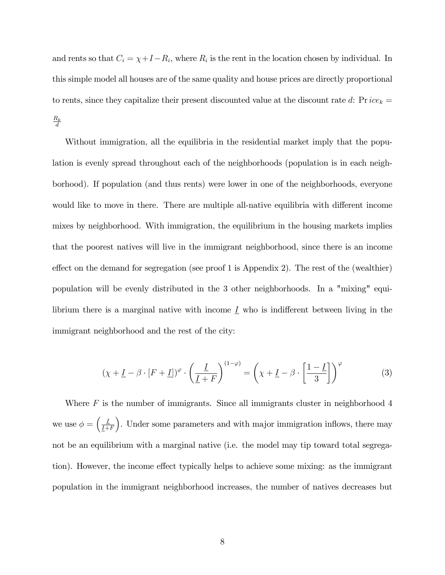and rents so that  $C_i = \chi + I - R_i$ , where  $R_i$  is the rent in the location chosen by individual. In this simple model all houses are of the same quality and house prices are directly proportional to rents, since they capitalize their present discounted value at the discount rate d:  $Price_k =$  $R_k$ d

Without immigration, all the equilibria in the residential market imply that the population is evenly spread throughout each of the neighborhoods (population is in each neighborhood). If population (and thus rents) were lower in one of the neighborhoods, everyone would like to move in there. There are multiple all-native equilibria with different income mixes by neighborhood. With immigration, the equilibrium in the housing markets implies that the poorest natives will live in the immigrant neighborhood, since there is an income effect on the demand for segregation (see proof 1 is Appendix 2). The rest of the (wealthier) population will be evenly distributed in the 3 other neighborhoods. In a "mixing" equilibrium there is a marginal native with income  $\underline{I}$  who is indifferent between living in the immigrant neighborhood and the rest of the city:

$$
(\chi + \underline{I} - \beta \cdot [F + \underline{I}])^{\varphi} \cdot \left(\frac{\underline{I}}{\underline{I} + F}\right)^{(1-\varphi)} = \left(\chi + \underline{I} - \beta \cdot \left[\frac{1-\underline{I}}{3}\right]\right)^{\varphi} \tag{3}
$$

Where  $F$  is the number of immigrants. Since all immigrants cluster in neighborhood  $4$ we use  $\phi = \left(\frac{1}{l+1}\right)$  $I+F$ ). Under some parameters and with major immigration inflows, there may not be an equilibrium with a marginal native (i.e. the model may tip toward total segregation). However, the income effect typically helps to achieve some mixing: as the immigrant population in the immigrant neighborhood increases, the number of natives decreases but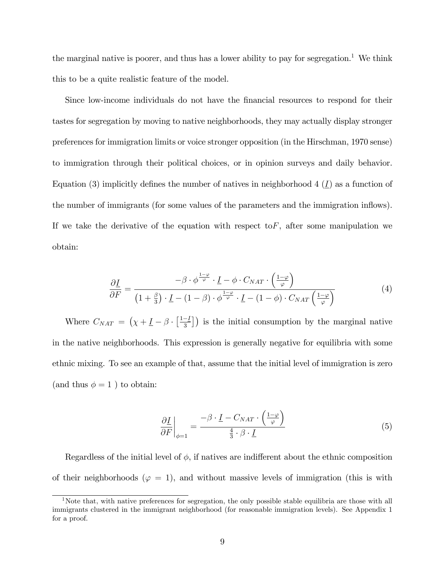the marginal native is poorer, and thus has a lower ability to pay for segregation.<sup>1</sup> We think this to be a quite realistic feature of the model.

Since low-income individuals do not have the financial resources to respond for their tastes for segregation by moving to native neighborhoods, they may actually display stronger preferences for immigration limits or voice stronger opposition (in the Hirschman, 1970 sense) to immigration through their political choices, or in opinion surveys and daily behavior. Equation (3) implicitly defines the number of natives in neighborhood 4  $(I)$  as a function of the number of immigrants (for some values of the parameters and the immigration inflows). If we take the derivative of the equation with respect to  $F$ , after some manipulation we obtain:

$$
\frac{\partial \underline{I}}{\partial F} = \frac{-\beta \cdot \phi^{\frac{1-\varphi}{\varphi}} \cdot \underline{I} - \phi \cdot C_{NAT} \cdot \left(\frac{1-\varphi}{\varphi}\right)}{(1+\frac{\beta}{3}) \cdot \underline{I} - (1-\beta) \cdot \phi^{\frac{1-\varphi}{\varphi}} \cdot \underline{I} - (1-\phi) \cdot C_{NAT} \left(\frac{1-\varphi}{\varphi}\right)}
$$
(4)

Where  $C_{NAT} = (\chi + \underline{I} - \beta \cdot \left[\frac{1-I}{3}\right])$  is the initial consumption by the marginal native in the native neighborhoods. This expression is generally negative for equilibria with some ethnic mixing. To see an example of that, assume that the initial level of immigration is zero (and thus  $\phi = 1$ ) to obtain:

$$
\left. \frac{\partial \underline{I}}{\partial F} \right|_{\phi=1} = \frac{-\beta \cdot \underline{I} - C_{NAT} \cdot \left( \frac{1-\varphi}{\varphi} \right)}{\frac{4}{3} \cdot \beta \cdot \underline{I}} \tag{5}
$$

Regardless of the initial level of  $\phi$ , if natives are indifferent about the ethnic composition of their neighborhoods ( $\varphi = 1$ ), and without massive levels of immigration (this is with

<sup>&</sup>lt;sup>1</sup>Note that, with native preferences for segregation, the only possible stable equilibria are those with all immigrants clustered in the immigrant neighborhood (for reasonable immigration levels). See Appendix 1 for a proof.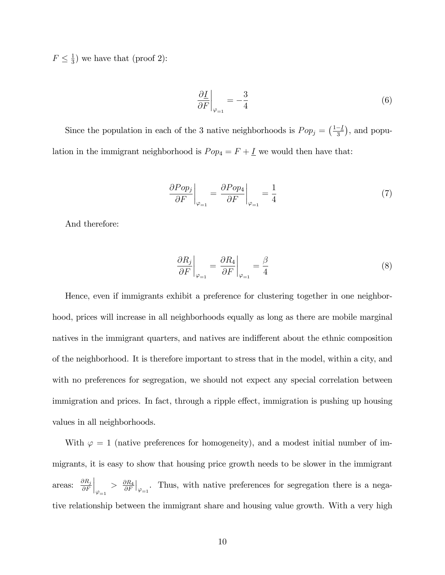$F \leq \frac{1}{3}$  $\frac{1}{3}$ ) we have that (proof 2):

$$
\left. \frac{\partial I}{\partial F} \right|_{\varphi=1} = -\frac{3}{4} \tag{6}
$$

Since the population in each of the 3 native neighborhoods is  $Pop_j = \left(\frac{1-I}{3}\right)$ , and population in the immigrant neighborhood is  $Pop_4 = F + \underline{I}$  we would then have that:

$$
\left. \frac{\partial Pop_j}{\partial F} \right|_{\varphi_{=1}} = \left. \frac{\partial Pop_4}{\partial F} \right|_{\varphi_{=1}} = \frac{1}{4}
$$
\n(7)

And therefore:

$$
\left. \frac{\partial R_j}{\partial F} \right|_{\varphi_{=1}} = \left. \frac{\partial R_4}{\partial F} \right|_{\varphi_{=1}} = \frac{\beta}{4}
$$
\n(8)

Hence, even if immigrants exhibit a preference for clustering together in one neighborhood, prices will increase in all neighborhoods equally as long as there are mobile marginal natives in the immigrant quarters, and natives are indifferent about the ethnic composition of the neighborhood. It is therefore important to stress that in the model, within a city, and with no preferences for segregation, we should not expect any special correlation between immigration and prices. In fact, through a ripple effect, immigration is pushing up housing values in all neighborhoods.

With  $\varphi = 1$  (native preferences for homogeneity), and a modest initial number of immigrants, it is easy to show that housing price growth needs to be slower in the immigrant areas:  $\frac{\partial R_j}{\partial F}$  $\partial F$  $\Big|_{\varphi_{=1}}$  $> \frac{\partial R_4}{\partial F}$  $\frac{\partial R_4}{\partial F}\Big|_{\varphi=1}$ . Thus, with native preferences for segregation there is a negative relationship between the immigrant share and housing value growth. With a very high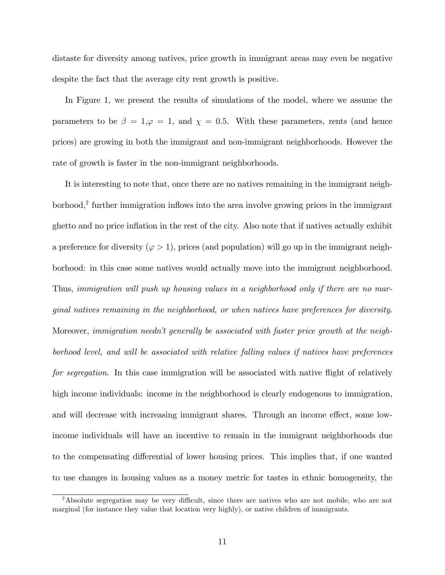distaste for diversity among natives, price growth in immigrant areas may even be negative despite the fact that the average city rent growth is positive.

In Figure 1, we present the results of simulations of the model, where we assume the parameters to be  $\beta = 1, \varphi = 1$ , and  $\chi = 0.5$ . With these parameters, rents (and hence prices) are growing in both the immigrant and non-immigrant neighborhoods. However the rate of growth is faster in the non-immigrant neighborhoods.

It is interesting to note that, once there are no natives remaining in the immigrant neighborhood,<sup>2</sup> further immigration inflows into the area involve growing prices in the immigrant ghetto and no price inflation in the rest of the city. Also note that if natives actually exhibit a preference for diversity ( $\varphi > 1$ ), prices (and population) will go up in the immigrant neighborhood: in this case some natives would actually move into the immigrant neighborhood. Thus, immigration will push up housing values in a neighborhood only if there are no marginal natives remaining in the neighborhood, or when natives have preferences for diversity. Moreover, immigration needn't generally be associated with faster price growth at the neighborhood level, and will be associated with relative falling values if natives have preferences for segregation. In this case immigration will be associated with native flight of relatively high income individuals: income in the neighborhood is clearly endogenous to immigration, and will decrease with increasing immigrant shares. Through an income effect, some lowincome individuals will have an incentive to remain in the immigrant neighborhoods due to the compensating differential of lower housing prices. This implies that, if one wanted to use changes in housing values as a money metric for tastes in ethnic homogeneity, the

<sup>&</sup>lt;sup>2</sup>Absolute segregation may be very difficult, since there are natives who are not mobile, who are not marginal (for instance they value that location very highly), or native children of immigrants.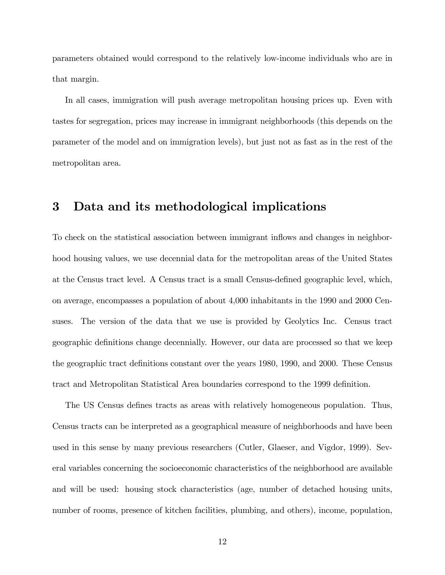parameters obtained would correspond to the relatively low-income individuals who are in that margin.

In all cases, immigration will push average metropolitan housing prices up. Even with tastes for segregation, prices may increase in immigrant neighborhoods (this depends on the parameter of the model and on immigration levels), but just not as fast as in the rest of the metropolitan area.

### 3 Data and its methodological implications

To check on the statistical association between immigrant inflows and changes in neighborhood housing values, we use decennial data for the metropolitan areas of the United States at the Census tract level. A Census tract is a small Census-defined geographic level, which, on average, encompasses a population of about 4,000 inhabitants in the 1990 and 2000 Censuses. The version of the data that we use is provided by Geolytics Inc. Census tract geographic deÖnitions change decennially. However, our data are processed so that we keep the geographic tract definitions constant over the years 1980, 1990, and 2000. These Census tract and Metropolitan Statistical Area boundaries correspond to the 1999 definition.

The US Census defines tracts as areas with relatively homogeneous population. Thus, Census tracts can be interpreted as a geographical measure of neighborhoods and have been used in this sense by many previous researchers (Cutler, Glaeser, and Vigdor, 1999). Several variables concerning the socioeconomic characteristics of the neighborhood are available and will be used: housing stock characteristics (age, number of detached housing units, number of rooms, presence of kitchen facilities, plumbing, and others), income, population,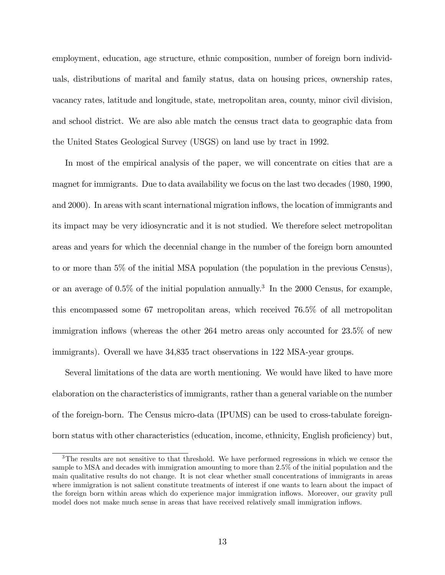employment, education, age structure, ethnic composition, number of foreign born individuals, distributions of marital and family status, data on housing prices, ownership rates, vacancy rates, latitude and longitude, state, metropolitan area, county, minor civil division, and school district. We are also able match the census tract data to geographic data from the United States Geological Survey (USGS) on land use by tract in 1992.

In most of the empirical analysis of the paper, we will concentrate on cities that are a magnet for immigrants. Due to data availability we focus on the last two decades (1980, 1990, and 2000). In areas with scant international migration ináows, the location of immigrants and its impact may be very idiosyncratic and it is not studied. We therefore select metropolitan areas and years for which the decennial change in the number of the foreign born amounted to or more than 5% of the initial MSA population (the population in the previous Census), or an average of 0.5% of the initial population annually.<sup>3</sup> In the 2000 Census, for example, this encompassed some 67 metropolitan areas, which received 76.5% of all metropolitan immigration inflows (whereas the other  $264$  metro areas only accounted for  $23.5\%$  of new immigrants). Overall we have 34,835 tract observations in 122 MSA-year groups.

Several limitations of the data are worth mentioning. We would have liked to have more elaboration on the characteristics of immigrants, rather than a general variable on the number of the foreign-born. The Census micro-data (IPUMS) can be used to cross-tabulate foreignborn status with other characteristics (education, income, ethnicity, English proficiency) but,

<sup>&</sup>lt;sup>3</sup>The results are not sensitive to that threshold. We have performed regressions in which we censor the sample to MSA and decades with immigration amounting to more than 2.5% of the initial population and the main qualitative results do not change. It is not clear whether small concentrations of immigrants in areas where immigration is not salient constitute treatments of interest if one wants to learn about the impact of the foreign born within areas which do experience major immigration ináows. Moreover, our gravity pull model does not make much sense in areas that have received relatively small immigration inflows.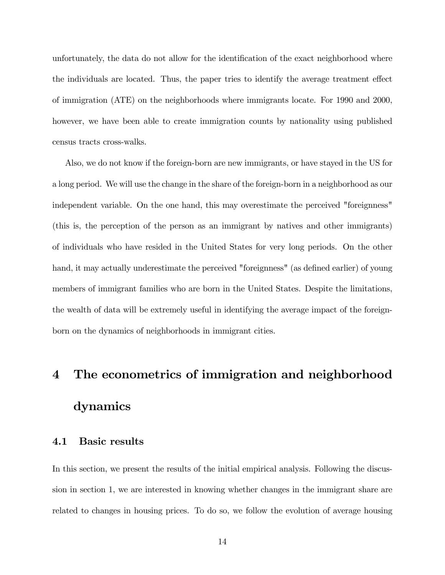unfortunately, the data do not allow for the identification of the exact neighborhood where the individuals are located. Thus, the paper tries to identify the average treatment effect of immigration (ATE) on the neighborhoods where immigrants locate. For 1990 and 2000, however, we have been able to create immigration counts by nationality using published census tracts cross-walks.

Also, we do not know if the foreign-born are new immigrants, or have stayed in the US for a long period. We will use the change in the share of the foreign-born in a neighborhood as our independent variable. On the one hand, this may overestimate the perceived "foreignness" (this is, the perception of the person as an immigrant by natives and other immigrants) of individuals who have resided in the United States for very long periods. On the other hand, it may actually underestimate the perceived "foreignness" (as defined earlier) of young members of immigrant families who are born in the United States. Despite the limitations, the wealth of data will be extremely useful in identifying the average impact of the foreignborn on the dynamics of neighborhoods in immigrant cities.

# 4 The econometrics of immigration and neighborhood dynamics

#### 4.1 Basic results

In this section, we present the results of the initial empirical analysis. Following the discussion in section 1, we are interested in knowing whether changes in the immigrant share are related to changes in housing prices. To do so, we follow the evolution of average housing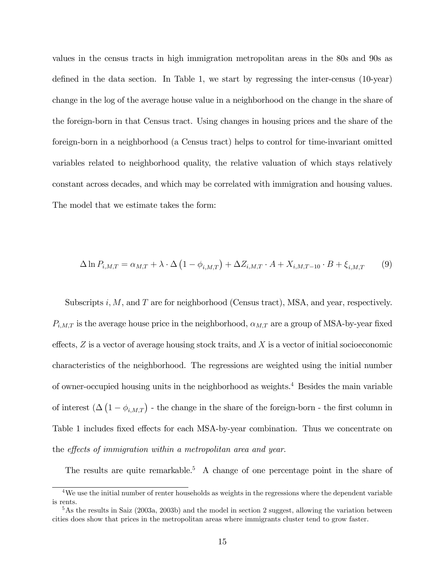values in the census tracts in high immigration metropolitan areas in the 80s and 90s as defined in the data section. In Table 1, we start by regressing the inter-census (10-year) change in the log of the average house value in a neighborhood on the change in the share of the foreign-born in that Census tract. Using changes in housing prices and the share of the foreign-born in a neighborhood (a Census tract) helps to control for time-invariant omitted variables related to neighborhood quality, the relative valuation of which stays relatively constant across decades, and which may be correlated with immigration and housing values. The model that we estimate takes the form:

$$
\Delta \ln P_{i,M,T} = \alpha_{M,T} + \lambda \cdot \Delta \left( 1 - \phi_{i,M,T} \right) + \Delta Z_{i,M,T} \cdot A + X_{i,M,T-10} \cdot B + \xi_{i,M,T} \tag{9}
$$

Subscripts i,  $M$ , and  $T$  are for neighborhood (Census tract), MSA, and year, respectively.  $P_{i,M,T}$  is the average house price in the neighborhood,  $\alpha_{M,T}$  are a group of MSA-by-year fixed effects,  $Z$  is a vector of average housing stock traits, and  $X$  is a vector of initial socioeconomic characteristics of the neighborhood. The regressions are weighted using the initial number of owner-occupied housing units in the neighborhood as weights.<sup>4</sup> Besides the main variable of interest  $(\Delta(1 - \phi_{i,M,T})$  - the change in the share of the foreign-born - the first column in Table 1 includes fixed effects for each MSA-by-year combination. Thus we concentrate on the effects of immigration within a metropolitan area and year.

The results are quite remarkable.<sup>5</sup> A change of one percentage point in the share of

 $\overline{4 \text{We}}$  use the initial number of renter households as weights in the regressions where the dependent variable is rents.

<sup>&</sup>lt;sup>5</sup>As the results in Saiz (2003a, 2003b) and the model in section 2 suggest, allowing the variation between cities does show that prices in the metropolitan areas where immigrants cluster tend to grow faster.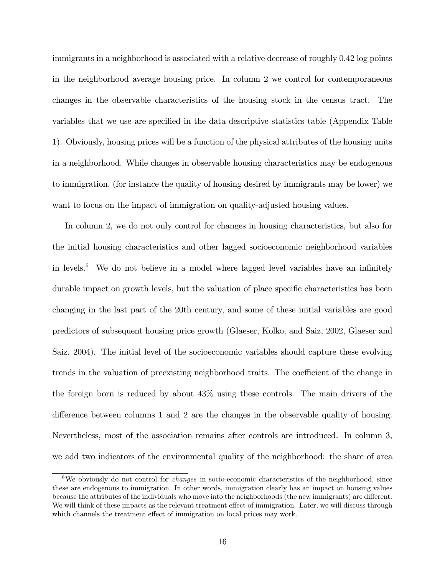immigrants in a neighborhood is associated with a relative decrease of roughly 0.42 log points in the neighborhood average housing price. In column 2 we control for contemporaneous changes in the observable characteristics of the housing stock in the census tract. The variables that we use are specified in the data descriptive statistics table (Appendix Table 1). Obviously, housing prices will be a function of the physical attributes of the housing units in a neighborhood. While changes in observable housing characteristics may be endogenous to immigration, (for instance the quality of housing desired by immigrants may be lower) we want to focus on the impact of immigration on quality-adjusted housing values.

In column 2, we do not only control for changes in housing characteristics, but also for the initial housing characteristics and other lagged socioeconomic neighborhood variables in levels. $6$  We do not believe in a model where lagged level variables have an infinitely durable impact on growth levels, but the valuation of place specific characteristics has been changing in the last part of the 20th century, and some of these initial variables are good predictors of subsequent housing price growth (Glaeser, Kolko, and Saiz, 2002, Glaeser and Saiz, 2004). The initial level of the socioeconomic variables should capture these evolving trends in the valuation of preexisting neighborhood traits. The coefficient of the change in the foreign born is reduced by about 43% using these controls. The main drivers of the difference between columns  $1$  and  $2$  are the changes in the observable quality of housing. Nevertheless, most of the association remains after controls are introduced. In column 3, we add two indicators of the environmental quality of the neighborhood: the share of area

<sup>&</sup>lt;sup>6</sup>We obviously do not control for *changes* in socio-economic characteristics of the neighborhood, since these are endogenous to immigration. In other words, immigration clearly has an impact on housing values because the attributes of the individuals who move into the neighborhoods (the new immigrants) are different. We will think of these impacts as the relevant treatment effect of immigration. Later, we will discuss through which channels the treatment effect of immigration on local prices may work.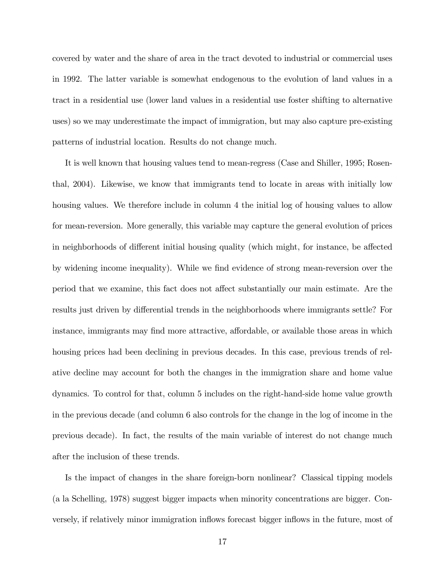covered by water and the share of area in the tract devoted to industrial or commercial uses in 1992. The latter variable is somewhat endogenous to the evolution of land values in a tract in a residential use (lower land values in a residential use foster shifting to alternative uses) so we may underestimate the impact of immigration, but may also capture pre-existing patterns of industrial location. Results do not change much.

It is well known that housing values tend to mean-regress (Case and Shiller, 1995; Rosenthal, 2004). Likewise, we know that immigrants tend to locate in areas with initially low housing values. We therefore include in column 4 the initial log of housing values to allow for mean-reversion. More generally, this variable may capture the general evolution of prices in neighborhoods of different initial housing quality (which might, for instance, be affected by widening income inequality). While we find evidence of strong mean-reversion over the period that we examine, this fact does not affect substantially our main estimate. Are the results just driven by differential trends in the neighborhoods where immigrants settle? For instance, immigrants may find more attractive, affordable, or available those areas in which housing prices had been declining in previous decades. In this case, previous trends of relative decline may account for both the changes in the immigration share and home value dynamics. To control for that, column 5 includes on the right-hand-side home value growth in the previous decade (and column 6 also controls for the change in the log of income in the previous decade). In fact, the results of the main variable of interest do not change much after the inclusion of these trends.

Is the impact of changes in the share foreign-born nonlinear? Classical tipping models (a la Schelling, 1978) suggest bigger impacts when minority concentrations are bigger. Conversely, if relatively minor immigration ináows forecast bigger ináows in the future, most of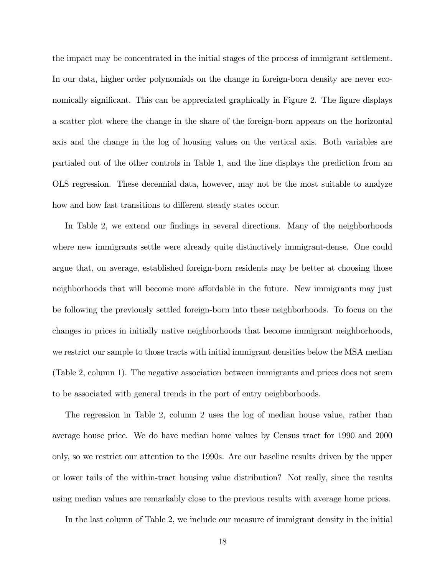the impact may be concentrated in the initial stages of the process of immigrant settlement. In our data, higher order polynomials on the change in foreign-born density are never economically significant. This can be appreciated graphically in Figure 2. The figure displays a scatter plot where the change in the share of the foreign-born appears on the horizontal axis and the change in the log of housing values on the vertical axis. Both variables are partialed out of the other controls in Table 1, and the line displays the prediction from an OLS regression. These decennial data, however, may not be the most suitable to analyze how and how fast transitions to different steady states occur.

In Table 2, we extend our findings in several directions. Many of the neighborhoods where new immigrants settle were already quite distinctively immigrant-dense. One could argue that, on average, established foreign-born residents may be better at choosing those neighborhoods that will become more affordable in the future. New immigrants may just be following the previously settled foreign-born into these neighborhoods. To focus on the changes in prices in initially native neighborhoods that become immigrant neighborhoods, we restrict our sample to those tracts with initial immigrant densities below the MSA median (Table 2, column 1). The negative association between immigrants and prices does not seem to be associated with general trends in the port of entry neighborhoods.

The regression in Table 2, column 2 uses the log of median house value, rather than average house price. We do have median home values by Census tract for 1990 and 2000 only, so we restrict our attention to the 1990s. Are our baseline results driven by the upper or lower tails of the within-tract housing value distribution? Not really, since the results using median values are remarkably close to the previous results with average home prices.

In the last column of Table 2, we include our measure of immigrant density in the initial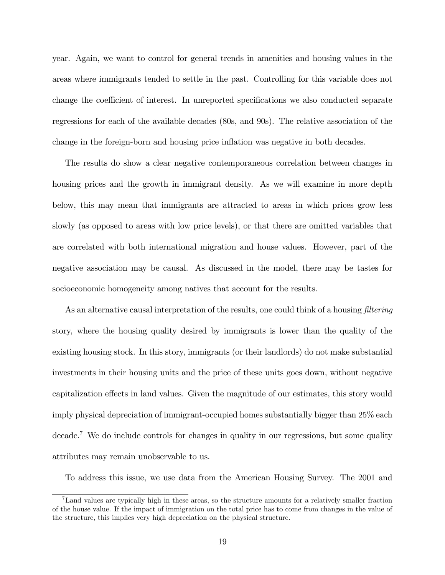year. Again, we want to control for general trends in amenities and housing values in the areas where immigrants tended to settle in the past. Controlling for this variable does not change the coefficient of interest. In unreported specifications we also conducted separate regressions for each of the available decades (80s, and 90s). The relative association of the change in the foreign-born and housing price inflation was negative in both decades.

The results do show a clear negative contemporaneous correlation between changes in housing prices and the growth in immigrant density. As we will examine in more depth below, this may mean that immigrants are attracted to areas in which prices grow less slowly (as opposed to areas with low price levels), or that there are omitted variables that are correlated with both international migration and house values. However, part of the negative association may be causal. As discussed in the model, there may be tastes for socioeconomic homogeneity among natives that account for the results.

As an alternative causal interpretation of the results, one could think of a housing *filtering* story, where the housing quality desired by immigrants is lower than the quality of the existing housing stock. In this story, immigrants (or their landlords) do not make substantial investments in their housing units and the price of these units goes down, without negative capitalization effects in land values. Given the magnitude of our estimates, this story would imply physical depreciation of immigrant-occupied homes substantially bigger than 25% each decade.<sup>7</sup> We do include controls for changes in quality in our regressions, but some quality attributes may remain unobservable to us.

To address this issue, we use data from the American Housing Survey. The 2001 and

<sup>7</sup>Land values are typically high in these areas, so the structure amounts for a relatively smaller fraction of the house value. If the impact of immigration on the total price has to come from changes in the value of the structure, this implies very high depreciation on the physical structure.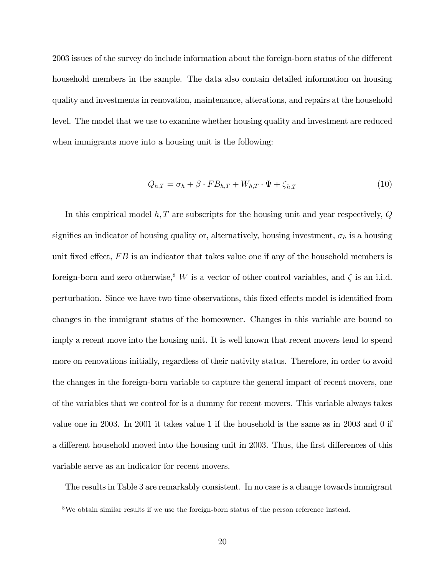2003 issues of the survey do include information about the foreign-born status of the different household members in the sample. The data also contain detailed information on housing quality and investments in renovation, maintenance, alterations, and repairs at the household level. The model that we use to examine whether housing quality and investment are reduced when immigrants move into a housing unit is the following:

$$
Q_{h,T} = \sigma_h + \beta \cdot FB_{h,T} + W_{h,T} \cdot \Psi + \zeta_{h,T}
$$
\n<sup>(10)</sup>

In this empirical model  $h, T$  are subscripts for the housing unit and year respectively,  $Q$ signifies an indicator of housing quality or, alternatively, housing investment,  $\sigma_h$  is a housing unit fixed effect,  $FB$  is an indicator that takes value one if any of the household members is foreign-born and zero otherwise,<sup>8</sup> W is a vector of other control variables, and  $\zeta$  is an i.i.d. perturbation. Since we have two time observations, this fixed effects model is identified from changes in the immigrant status of the homeowner. Changes in this variable are bound to imply a recent move into the housing unit. It is well known that recent movers tend to spend more on renovations initially, regardless of their nativity status. Therefore, in order to avoid the changes in the foreign-born variable to capture the general impact of recent movers, one of the variables that we control for is a dummy for recent movers. This variable always takes value one in 2003. In 2001 it takes value 1 if the household is the same as in 2003 and 0 if a different household moved into the housing unit in 2003. Thus, the first differences of this variable serve as an indicator for recent movers.

The results in Table 3 are remarkably consistent. In no case is a change towards immigrant

<sup>&</sup>lt;sup>8</sup>We obtain similar results if we use the foreign-born status of the person reference instead.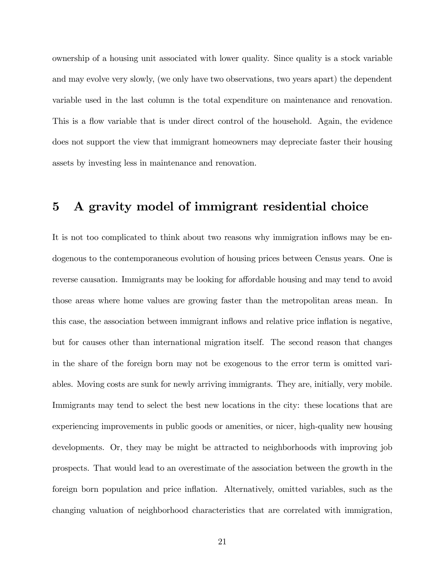ownership of a housing unit associated with lower quality. Since quality is a stock variable and may evolve very slowly, (we only have two observations, two years apart) the dependent variable used in the last column is the total expenditure on maintenance and renovation. This is a flow variable that is under direct control of the household. Again, the evidence does not support the view that immigrant homeowners may depreciate faster their housing assets by investing less in maintenance and renovation.

### 5 A gravity model of immigrant residential choice

It is not too complicated to think about two reasons why immigration inflows may be endogenous to the contemporaneous evolution of housing prices between Census years. One is reverse causation. Immigrants may be looking for affordable housing and may tend to avoid those areas where home values are growing faster than the metropolitan areas mean. In this case, the association between immigrant inflows and relative price inflation is negative, but for causes other than international migration itself. The second reason that changes in the share of the foreign born may not be exogenous to the error term is omitted variables. Moving costs are sunk for newly arriving immigrants. They are, initially, very mobile. Immigrants may tend to select the best new locations in the city: these locations that are experiencing improvements in public goods or amenities, or nicer, high-quality new housing developments. Or, they may be might be attracted to neighborhoods with improving job prospects. That would lead to an overestimate of the association between the growth in the foreign born population and price inflation. Alternatively, omitted variables, such as the changing valuation of neighborhood characteristics that are correlated with immigration,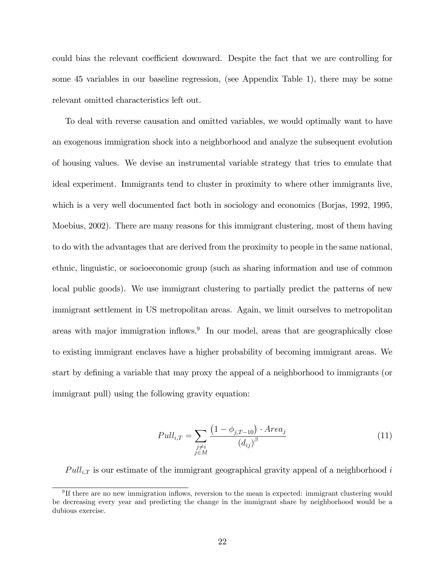could bias the relevant coefficient downward. Despite the fact that we are controlling for some 45 variables in our baseline regression, (see Appendix Table 1), there may be some relevant omitted characteristics left out.

To deal with reverse causation and omitted variables, we would optimally want to have an exogenous immigration shock into a neighborhood and analyze the subsequent evolution of housing values. We devise an instrumental variable strategy that tries to emulate that ideal experiment. Immigrants tend to cluster in proximity to where other immigrants live, which is a very well documented fact both in sociology and economics (Borjas, 1992, 1995, Moebius, 2002). There are many reasons for this immigrant clustering, most of them having to do with the advantages that are derived from the proximity to people in the same national, ethnic, linguistic, or socioeconomic group (such as sharing information and use of common local public goods). We use immigrant clustering to partially predict the patterns of new immigrant settlement in US metropolitan areas. Again, we limit ourselves to metropolitan areas with major immigration inflows.<sup>9</sup> In our model, areas that are geographically close to existing immigrant enclaves have a higher probability of becoming immigrant areas. We start by defining a variable that may proxy the appeal of a neighborhood to immigrants (or immigrant pull) using the following gravity equation:

$$
Pull_{i,T} = \sum_{\substack{j \neq i \\ j \in M}} \frac{\left(1 - \phi_{j,T-10}\right) \cdot Area_j}{\left(d_{ij}\right)^{\beta}}
$$
\n
$$
(11)
$$

 $Pull_{i,T}$  is our estimate of the immigrant geographical gravity appeal of a neighborhood i

<sup>&</sup>lt;sup>9</sup>If there are no new immigration inflows, reversion to the mean is expected: immigrant clustering would be decreasing every year and predicting the change in the immigrant share by neighborhood would be a dubious exercise.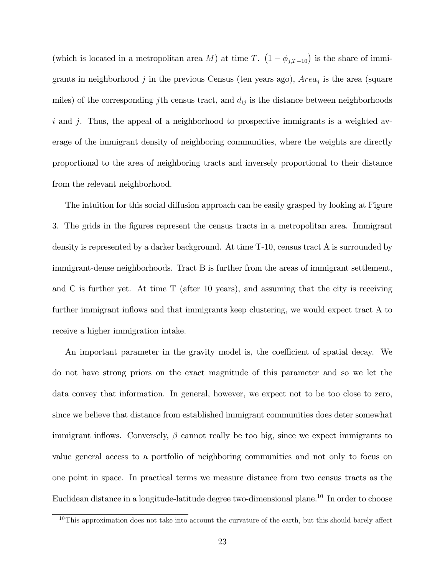(which is located in a metropolitan area M) at time T.  $(1 - \phi_{j,T-10})$  is the share of immigrants in neighborhood  $j$  in the previous Census (ten years ago),  $Area_j$  is the area (square miles) of the corresponding jth census tract, and  $d_{ij}$  is the distance between neighborhoods i and j. Thus, the appeal of a neighborhood to prospective immigrants is a weighted average of the immigrant density of neighboring communities, where the weights are directly proportional to the area of neighboring tracts and inversely proportional to their distance from the relevant neighborhood.

The intuition for this social diffusion approach can be easily grasped by looking at Figure 3. The grids in the Ögures represent the census tracts in a metropolitan area. Immigrant density is represented by a darker background. At time T-10, census tract A is surrounded by immigrant-dense neighborhoods. Tract B is further from the areas of immigrant settlement, and C is further yet. At time T (after 10 years), and assuming that the city is receiving further immigrant inflows and that immigrants keep clustering, we would expect tract A to receive a higher immigration intake.

An important parameter in the gravity model is, the coefficient of spatial decay. We do not have strong priors on the exact magnitude of this parameter and so we let the data convey that information. In general, however, we expect not to be too close to zero, since we believe that distance from established immigrant communities does deter somewhat immigrant inflows. Conversely,  $\beta$  cannot really be too big, since we expect immigrants to value general access to a portfolio of neighboring communities and not only to focus on one point in space. In practical terms we measure distance from two census tracts as the Euclidean distance in a longitude-latitude degree two-dimensional plane.<sup>10</sup> In order to choose

 $10$ This approximation does not take into account the curvature of the earth, but this should barely affect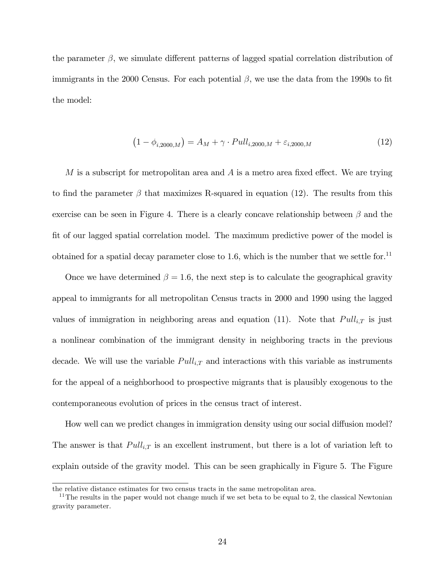the parameter  $\beta$ , we simulate different patterns of lagged spatial correlation distribution of immigrants in the 2000 Census. For each potential  $\beta$ , we use the data from the 1990s to fit the model:

$$
(1 - \phi_{i,2000,M}) = A_M + \gamma \cdot Pull_{i,2000,M} + \varepsilon_{i,2000,M}
$$
 (12)

M is a subscript for metropolitan area and  $A$  is a metro area fixed effect. We are trying to find the parameter  $\beta$  that maximizes R-squared in equation (12). The results from this exercise can be seen in Figure 4. There is a clearly concave relationship between  $\beta$  and the fit of our lagged spatial correlation model. The maximum predictive power of the model is obtained for a spatial decay parameter close to 1.6, which is the number that we settle for.<sup>11</sup>

Once we have determined  $\beta = 1.6$ , the next step is to calculate the geographical gravity appeal to immigrants for all metropolitan Census tracts in 2000 and 1990 using the lagged values of immigration in neighboring areas and equation (11). Note that  $Pull_{i,T}$  is just a nonlinear combination of the immigrant density in neighboring tracts in the previous decade. We will use the variable  $Pull_{i,T}$  and interactions with this variable as instruments for the appeal of a neighborhood to prospective migrants that is plausibly exogenous to the contemporaneous evolution of prices in the census tract of interest.

How well can we predict changes in immigration density using our social diffusion model? The answer is that  $Pull_{i,T}$  is an excellent instrument, but there is a lot of variation left to explain outside of the gravity model. This can be seen graphically in Figure 5. The Figure

the relative distance estimates for two census tracts in the same metropolitan area.

 $11$ The results in the paper would not change much if we set beta to be equal to 2, the classical Newtonian gravity parameter.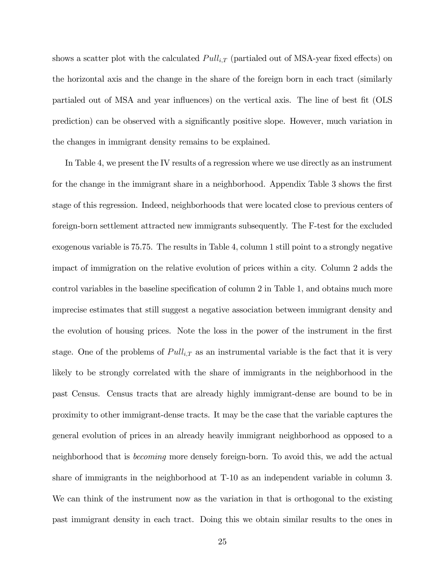shows a scatter plot with the calculated  $Pull_{i,T}$  (partialed out of MSA-year fixed effects) on the horizontal axis and the change in the share of the foreign born in each tract (similarly partialed out of MSA and year influences) on the vertical axis. The line of best fit (OLS prediction) can be observed with a significantly positive slope. However, much variation in the changes in immigrant density remains to be explained.

In Table 4, we present the IV results of a regression where we use directly as an instrument for the change in the immigrant share in a neighborhood. Appendix Table 3 shows the first stage of this regression. Indeed, neighborhoods that were located close to previous centers of foreign-born settlement attracted new immigrants subsequently. The F-test for the excluded exogenous variable is 75.75. The results in Table 4, column 1 still point to a strongly negative impact of immigration on the relative evolution of prices within a city. Column 2 adds the control variables in the baseline specification of column 2 in Table 1, and obtains much more imprecise estimates that still suggest a negative association between immigrant density and the evolution of housing prices. Note the loss in the power of the instrument in the first stage. One of the problems of  $Pull_{i,T}$  as an instrumental variable is the fact that it is very likely to be strongly correlated with the share of immigrants in the neighborhood in the past Census. Census tracts that are already highly immigrant-dense are bound to be in proximity to other immigrant-dense tracts. It may be the case that the variable captures the general evolution of prices in an already heavily immigrant neighborhood as opposed to a neighborhood that is becoming more densely foreign-born. To avoid this, we add the actual share of immigrants in the neighborhood at T-10 as an independent variable in column 3. We can think of the instrument now as the variation in that is orthogonal to the existing past immigrant density in each tract. Doing this we obtain similar results to the ones in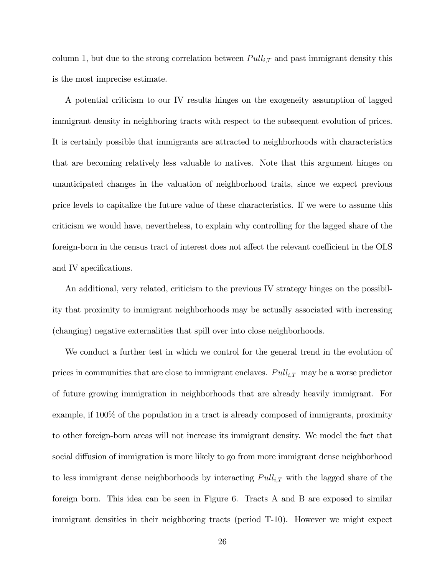column 1, but due to the strong correlation between  $Pull_{i,T}$  and past immigrant density this is the most imprecise estimate.

A potential criticism to our IV results hinges on the exogeneity assumption of lagged immigrant density in neighboring tracts with respect to the subsequent evolution of prices. It is certainly possible that immigrants are attracted to neighborhoods with characteristics that are becoming relatively less valuable to natives. Note that this argument hinges on unanticipated changes in the valuation of neighborhood traits, since we expect previous price levels to capitalize the future value of these characteristics. If we were to assume this criticism we would have, nevertheless, to explain why controlling for the lagged share of the foreign-born in the census tract of interest does not affect the relevant coefficient in the OLS and IV specifications.

An additional, very related, criticism to the previous IV strategy hinges on the possibility that proximity to immigrant neighborhoods may be actually associated with increasing (changing) negative externalities that spill over into close neighborhoods.

We conduct a further test in which we control for the general trend in the evolution of prices in communities that are close to immigrant enclaves.  $Pull_{i,T}$  may be a worse predictor of future growing immigration in neighborhoods that are already heavily immigrant. For example, if 100% of the population in a tract is already composed of immigrants, proximity to other foreign-born areas will not increase its immigrant density. We model the fact that social diffusion of immigration is more likely to go from more immigrant dense neighborhood to less immigrant dense neighborhoods by interacting  $Pull_{i,T}$  with the lagged share of the foreign born. This idea can be seen in Figure 6. Tracts A and B are exposed to similar immigrant densities in their neighboring tracts (period T-10). However we might expect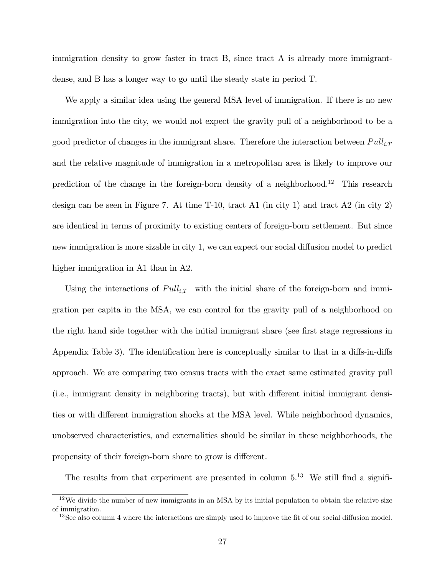immigration density to grow faster in tract B, since tract A is already more immigrantdense, and B has a longer way to go until the steady state in period T.

We apply a similar idea using the general MSA level of immigration. If there is no new immigration into the city, we would not expect the gravity pull of a neighborhood to be a good predictor of changes in the immigrant share. Therefore the interaction between  $Pull_{i,T}$ and the relative magnitude of immigration in a metropolitan area is likely to improve our prediction of the change in the foreign-born density of a neighborhood.<sup>12</sup> This research design can be seen in Figure 7. At time T-10, tract A1 (in city 1) and tract A2 (in city 2) are identical in terms of proximity to existing centers of foreign-born settlement. But since new immigration is more sizable in city 1, we can expect our social diffusion model to predict higher immigration in A1 than in A2.

Using the interactions of  $Pull_{i,T}$  with the initial share of the foreign-born and immigration per capita in the MSA, we can control for the gravity pull of a neighborhood on the right hand side together with the initial immigrant share (see first stage regressions in Appendix Table 3). The identification here is conceptually similar to that in a diffs-in-diffs approach. We are comparing two census tracts with the exact same estimated gravity pull (i.e., immigrant density in neighboring tracts), but with different initial immigrant densities or with different immigration shocks at the MSA level. While neighborhood dynamics, unobserved characteristics, and externalities should be similar in these neighborhoods, the propensity of their foreign-born share to grow is different.

The results from that experiment are presented in column  $5^{13}$ . We still find a signifi-

 $12$ We divide the number of new immigrants in an MSA by its initial population to obtain the relative size of immigration.

 $13$  See also column 4 where the interactions are simply used to improve the fit of our social diffusion model.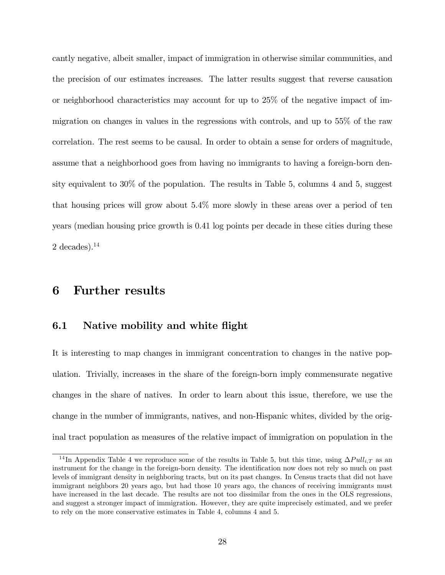cantly negative, albeit smaller, impact of immigration in otherwise similar communities, and the precision of our estimates increases. The latter results suggest that reverse causation or neighborhood characteristics may account for up to 25% of the negative impact of immigration on changes in values in the regressions with controls, and up to 55% of the raw correlation. The rest seems to be causal. In order to obtain a sense for orders of magnitude, assume that a neighborhood goes from having no immigrants to having a foreign-born density equivalent to 30% of the population. The results in Table 5, columns 4 and 5, suggest that housing prices will grow about 5.4% more slowly in these areas over a period of ten years (median housing price growth is 0.41 log points per decade in these cities during these 2 decades). $^{14}$ 

### 6 Further results

#### 6.1 Native mobility and white flight

It is interesting to map changes in immigrant concentration to changes in the native population. Trivially, increases in the share of the foreign-born imply commensurate negative changes in the share of natives. In order to learn about this issue, therefore, we use the change in the number of immigrants, natives, and non-Hispanic whites, divided by the original tract population as measures of the relative impact of immigration on population in the

<sup>&</sup>lt;sup>14</sup>In Appendix Table 4 we reproduce some of the results in Table 5, but this time, using  $\Delta Pull_{i,T}$  as an instrument for the change in the foreign-born density. The identification now does not rely so much on past levels of immigrant density in neighboring tracts, but on its past changes. In Census tracts that did not have immigrant neighbors 20 years ago, but had those 10 years ago, the chances of receiving immigrants must have increased in the last decade. The results are not too dissimilar from the ones in the OLS regressions, and suggest a stronger impact of immigration. However, they are quite imprecisely estimated, and we prefer to rely on the more conservative estimates in Table 4, columns 4 and 5.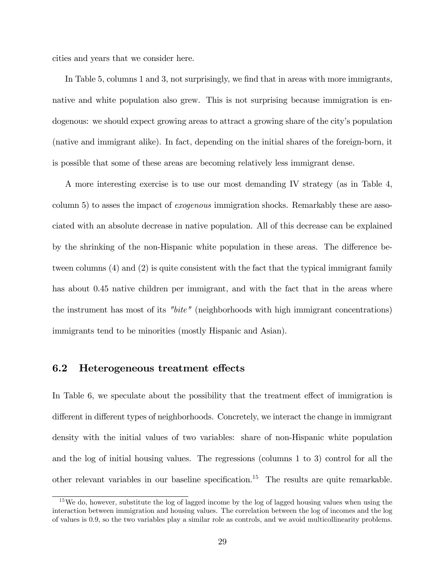cities and years that we consider here.

In Table 5, columns 1 and 3, not surprisingly, we find that in areas with more immigrants, native and white population also grew. This is not surprising because immigration is endogenous: we should expect growing areas to attract a growing share of the city's population (native and immigrant alike). In fact, depending on the initial shares of the foreign-born, it is possible that some of these areas are becoming relatively less immigrant dense.

A more interesting exercise is to use our most demanding IV strategy (as in Table 4, column 5) to asses the impact of exogenous immigration shocks. Remarkably these are associated with an absolute decrease in native population. All of this decrease can be explained by the shrinking of the non-Hispanic white population in these areas. The difference between columns (4) and (2) is quite consistent with the fact that the typical immigrant family has about 0.45 native children per immigrant, and with the fact that in the areas where the instrument has most of its "bite" (neighborhoods with high immigrant concentrations) immigrants tend to be minorities (mostly Hispanic and Asian).

#### 6.2 Heterogeneous treatment effects

In Table 6, we speculate about the possibility that the treatment effect of immigration is different in different types of neighborhoods. Concretely, we interact the change in immigrant density with the initial values of two variables: share of non-Hispanic white population and the log of initial housing values. The regressions (columns 1 to 3) control for all the other relevant variables in our baseline specification.<sup>15</sup> The results are quite remarkable.

<sup>&</sup>lt;sup>15</sup>We do, however, substitute the log of lagged income by the log of lagged housing values when using the interaction between immigration and housing values. The correlation between the log of incomes and the log of values is 0.9, so the two variables play a similar role as controls, and we avoid multicollinearity problems.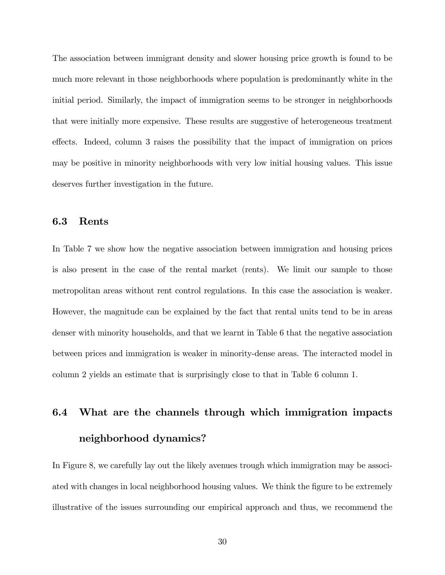The association between immigrant density and slower housing price growth is found to be much more relevant in those neighborhoods where population is predominantly white in the initial period. Similarly, the impact of immigration seems to be stronger in neighborhoods that were initially more expensive. These results are suggestive of heterogeneous treatment effects. Indeed, column 3 raises the possibility that the impact of immigration on prices may be positive in minority neighborhoods with very low initial housing values. This issue deserves further investigation in the future.

#### 6.3 Rents

In Table 7 we show how the negative association between immigration and housing prices is also present in the case of the rental market (rents). We limit our sample to those metropolitan areas without rent control regulations. In this case the association is weaker. However, the magnitude can be explained by the fact that rental units tend to be in areas denser with minority households, and that we learnt in Table 6 that the negative association between prices and immigration is weaker in minority-dense areas. The interacted model in column 2 yields an estimate that is surprisingly close to that in Table 6 column 1.

# 6.4 What are the channels through which immigration impacts neighborhood dynamics?

In Figure 8, we carefully lay out the likely avenues trough which immigration may be associated with changes in local neighborhood housing values. We think the figure to be extremely illustrative of the issues surrounding our empirical approach and thus, we recommend the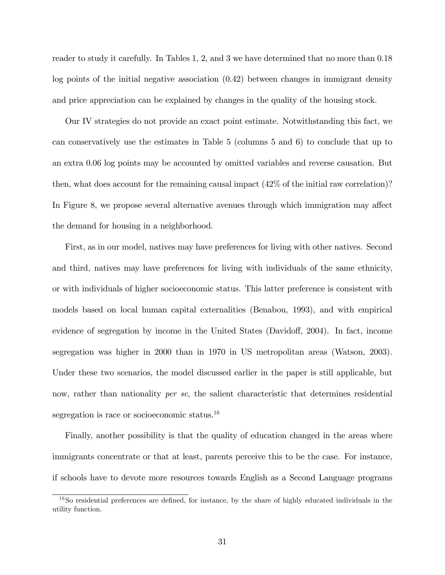reader to study it carefully. In Tables 1, 2, and 3 we have determined that no more than 0.18 log points of the initial negative association (0.42) between changes in immigrant density and price appreciation can be explained by changes in the quality of the housing stock.

Our IV strategies do not provide an exact point estimate. Notwithstanding this fact, we can conservatively use the estimates in Table 5 (columns 5 and 6) to conclude that up to an extra 0.06 log points may be accounted by omitted variables and reverse causation. But then, what does account for the remaining causal impact (42% of the initial raw correlation)? In Figure 8, we propose several alternative avenues through which immigration may affect the demand for housing in a neighborhood.

First, as in our model, natives may have preferences for living with other natives. Second and third, natives may have preferences for living with individuals of the same ethnicity, or with individuals of higher socioeconomic status. This latter preference is consistent with models based on local human capital externalities (Benabou, 1993), and with empirical evidence of segregation by income in the United States (Davidoff, 2004). In fact, income segregation was higher in 2000 than in 1970 in US metropolitan areas (Watson, 2003). Under these two scenarios, the model discussed earlier in the paper is still applicable, but now, rather than nationality *per se*, the salient characteristic that determines residential segregation is race or socioeconomic status.<sup>16</sup>

Finally, another possibility is that the quality of education changed in the areas where immigrants concentrate or that at least, parents perceive this to be the case. For instance, if schools have to devote more resources towards English as a Second Language programs

 $16S$  residential preferences are defined, for instance, by the share of highly educated individuals in the utility function.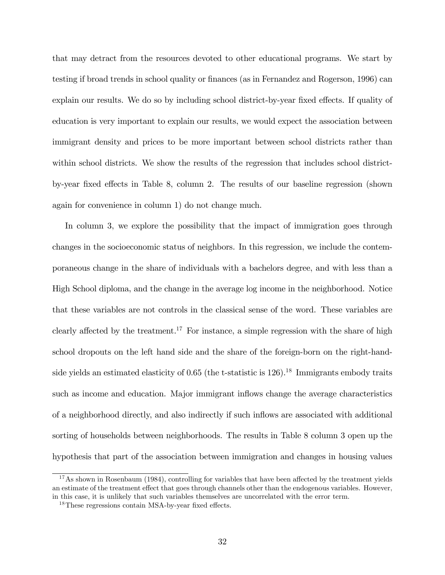that may detract from the resources devoted to other educational programs. We start by testing if broad trends in school quality or finances (as in Fernandez and Rogerson, 1996) can explain our results. We do so by including school district-by-year fixed effects. If quality of education is very important to explain our results, we would expect the association between immigrant density and prices to be more important between school districts rather than within school districts. We show the results of the regression that includes school districtby-year fixed effects in Table 8, column 2. The results of our baseline regression (shown again for convenience in column 1) do not change much.

In column 3, we explore the possibility that the impact of immigration goes through changes in the socioeconomic status of neighbors. In this regression, we include the contemporaneous change in the share of individuals with a bachelors degree, and with less than a High School diploma, and the change in the average log income in the neighborhood. Notice that these variables are not controls in the classical sense of the word. These variables are clearly affected by the treatment.<sup>17</sup> For instance, a simple regression with the share of high school dropouts on the left hand side and the share of the foreign-born on the right-handside yields an estimated elasticity of  $0.65$  (the t-statistic is  $126$ ).<sup>18</sup> Immigrants embody traits such as income and education. Major immigrant inflows change the average characteristics of a neighborhood directly, and also indirectly if such ináows are associated with additional sorting of households between neighborhoods. The results in Table 8 column 3 open up the hypothesis that part of the association between immigration and changes in housing values

 $17$ As shown in Rosenbaum (1984), controlling for variables that have been affected by the treatment yields an estimate of the treatment effect that goes through channels other than the endogenous variables. However, in this case, it is unlikely that such variables themselves are uncorrelated with the error term.

 $18$ These regressions contain MSA-by-year fixed effects.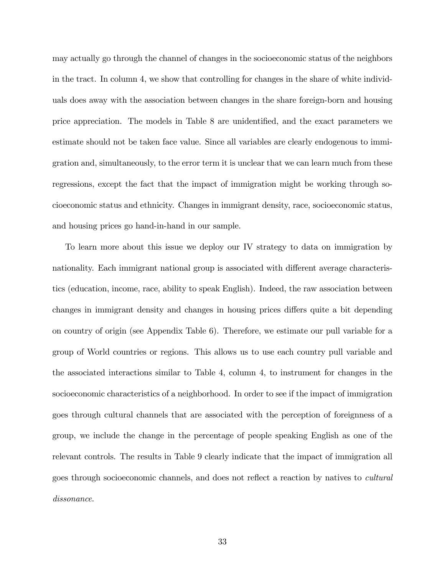may actually go through the channel of changes in the socioeconomic status of the neighbors in the tract. In column 4, we show that controlling for changes in the share of white individuals does away with the association between changes in the share foreign-born and housing price appreciation. The models in Table 8 are unidentified, and the exact parameters we estimate should not be taken face value. Since all variables are clearly endogenous to immigration and, simultaneously, to the error term it is unclear that we can learn much from these regressions, except the fact that the impact of immigration might be working through socioeconomic status and ethnicity. Changes in immigrant density, race, socioeconomic status, and housing prices go hand-in-hand in our sample.

To learn more about this issue we deploy our IV strategy to data on immigration by nationality. Each immigrant national group is associated with different average characteristics (education, income, race, ability to speak English). Indeed, the raw association between changes in immigrant density and changes in housing prices differs quite a bit depending on country of origin (see Appendix Table 6). Therefore, we estimate our pull variable for a group of World countries or regions. This allows us to use each country pull variable and the associated interactions similar to Table 4, column 4, to instrument for changes in the socioeconomic characteristics of a neighborhood. In order to see if the impact of immigration goes through cultural channels that are associated with the perception of foreignness of a group, we include the change in the percentage of people speaking English as one of the relevant controls. The results in Table 9 clearly indicate that the impact of immigration all goes through socioeconomic channels, and does not reflect a reaction by natives to *cultural* dissonance.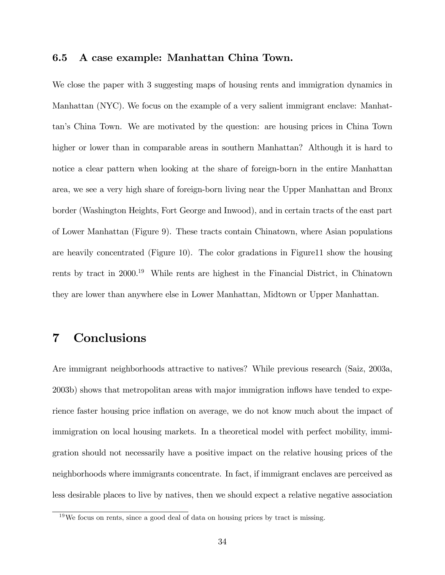#### 6.5 A case example: Manhattan China Town.

We close the paper with 3 suggesting maps of housing rents and immigration dynamics in Manhattan (NYC). We focus on the example of a very salient immigrant enclave: Manhattanís China Town. We are motivated by the question: are housing prices in China Town higher or lower than in comparable areas in southern Manhattan? Although it is hard to notice a clear pattern when looking at the share of foreign-born in the entire Manhattan area, we see a very high share of foreign-born living near the Upper Manhattan and Bronx border (Washington Heights, Fort George and Inwood), and in certain tracts of the east part of Lower Manhattan (Figure 9). These tracts contain Chinatown, where Asian populations are heavily concentrated (Figure 10). The color gradations in Figure11 show the housing rents by tract in 2000.<sup>19</sup> While rents are highest in the Financial District, in Chinatown they are lower than anywhere else in Lower Manhattan, Midtown or Upper Manhattan.

### 7 Conclusions

Are immigrant neighborhoods attractive to natives? While previous research (Saiz, 2003a, 2003b) shows that metropolitan areas with major immigration inflows have tended to experience faster housing price inflation on average, we do not know much about the impact of immigration on local housing markets. In a theoretical model with perfect mobility, immigration should not necessarily have a positive impact on the relative housing prices of the neighborhoods where immigrants concentrate. In fact, if immigrant enclaves are perceived as less desirable places to live by natives, then we should expect a relative negative association

<sup>19</sup>We focus on rents, since a good deal of data on housing prices by tract is missing.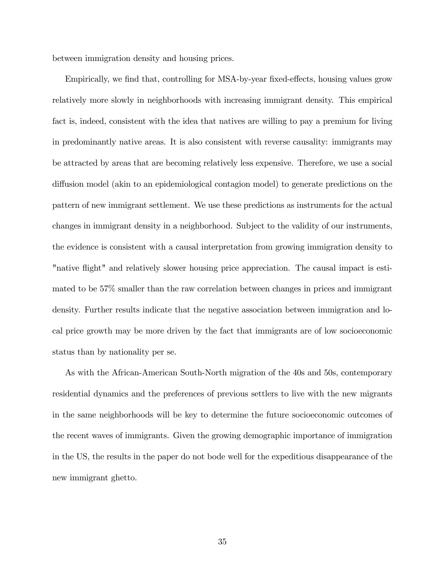between immigration density and housing prices.

Empirically, we find that, controlling for MSA-by-year fixed-effects, housing values grow relatively more slowly in neighborhoods with increasing immigrant density. This empirical fact is, indeed, consistent with the idea that natives are willing to pay a premium for living in predominantly native areas. It is also consistent with reverse causality: immigrants may be attracted by areas that are becoming relatively less expensive. Therefore, we use a social diffusion model (akin to an epidemiological contagion model) to generate predictions on the pattern of new immigrant settlement. We use these predictions as instruments for the actual changes in immigrant density in a neighborhood. Subject to the validity of our instruments, the evidence is consistent with a causal interpretation from growing immigration density to "native flight" and relatively slower housing price appreciation. The causal impact is estimated to be 57% smaller than the raw correlation between changes in prices and immigrant density. Further results indicate that the negative association between immigration and local price growth may be more driven by the fact that immigrants are of low socioeconomic status than by nationality per se.

As with the African-American South-North migration of the 40s and 50s, contemporary residential dynamics and the preferences of previous settlers to live with the new migrants in the same neighborhoods will be key to determine the future socioeconomic outcomes of the recent waves of immigrants. Given the growing demographic importance of immigration in the US, the results in the paper do not bode well for the expeditious disappearance of the new immigrant ghetto.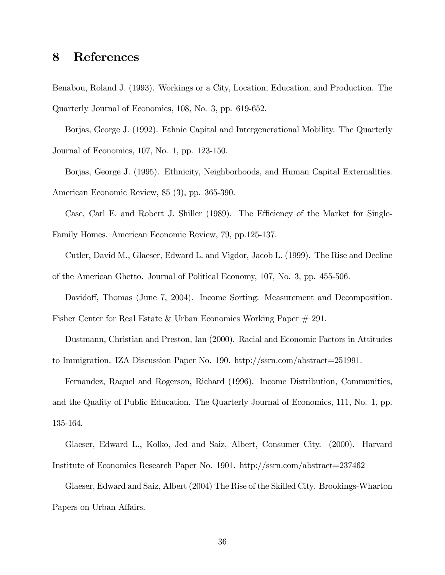### 8 References

Benabou, Roland J. (1993). Workings or a City, Location, Education, and Production. The Quarterly Journal of Economics, 108, No. 3, pp. 619-652.

Borjas, George J. (1992). Ethnic Capital and Intergenerational Mobility. The Quarterly Journal of Economics, 107, No. 1, pp. 123-150.

Borjas, George J. (1995). Ethnicity, Neighborhoods, and Human Capital Externalities. American Economic Review, 85 (3), pp. 365-390.

Case, Carl E. and Robert J. Shiller (1989). The Efficiency of the Market for Single-Family Homes. American Economic Review, 79, pp.125-137.

Cutler, David M., Glaeser, Edward L. and Vigdor, Jacob L. (1999). The Rise and Decline of the American Ghetto. Journal of Political Economy, 107, No. 3, pp. 455-506.

Davidoff, Thomas (June 7, 2004). Income Sorting: Measurement and Decomposition.

Fisher Center for Real Estate & Urban Economics Working Paper # 291.

Dustmann, Christian and Preston, Ian (2000). Racial and Economic Factors in Attitudes to Immigration. IZA Discussion Paper No. 190. http://ssrn.com/abstract=251991.

Fernandez, Raquel and Rogerson, Richard (1996). Income Distribution, Communities, and the Quality of Public Education. The Quarterly Journal of Economics, 111, No. 1, pp. 135-164.

Glaeser, Edward L., Kolko, Jed and Saiz, Albert, Consumer City. (2000). Harvard Institute of Economics Research Paper No. 1901. http://ssrn.com/abstract=237462

Glaeser, Edward and Saiz, Albert (2004) The Rise of the Skilled City. Brookings-Wharton Papers on Urban Affairs.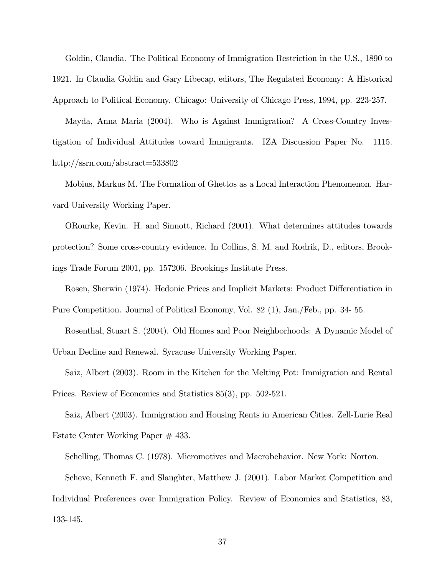Goldin, Claudia. The Political Economy of Immigration Restriction in the U.S., 1890 to 1921. In Claudia Goldin and Gary Libecap, editors, The Regulated Economy: A Historical Approach to Political Economy. Chicago: University of Chicago Press, 1994, pp. 223-257.

Mayda, Anna Maria (2004). Who is Against Immigration? A Cross-Country Investigation of Individual Attitudes toward Immigrants. IZA Discussion Paper No. 1115. http://ssrn.com/abstract=533802

Mobius, Markus M. The Formation of Ghettos as a Local Interaction Phenomenon. Harvard University Working Paper.

ORourke, Kevin. H. and Sinnott, Richard (2001). What determines attitudes towards protection? Some cross-country evidence. In Collins, S. M. and Rodrik, D., editors, Brookings Trade Forum 2001, pp. 157206. Brookings Institute Press.

Rosen, Sherwin (1974). Hedonic Prices and Implicit Markets: Product Differentiation in Pure Competition. Journal of Political Economy, Vol. 82 (1), Jan./Feb., pp. 34- 55.

Rosenthal, Stuart S. (2004). Old Homes and Poor Neighborhoods: A Dynamic Model of Urban Decline and Renewal. Syracuse University Working Paper.

Saiz, Albert (2003). Room in the Kitchen for the Melting Pot: Immigration and Rental Prices. Review of Economics and Statistics 85(3), pp. 502-521.

Saiz, Albert (2003). Immigration and Housing Rents in American Cities. Zell-Lurie Real Estate Center Working Paper # 433.

Schelling, Thomas C. (1978). Micromotives and Macrobehavior. New York: Norton.

Scheve, Kenneth F. and Slaughter, Matthew J. (2001). Labor Market Competition and Individual Preferences over Immigration Policy. Review of Economics and Statistics, 83, 133-145.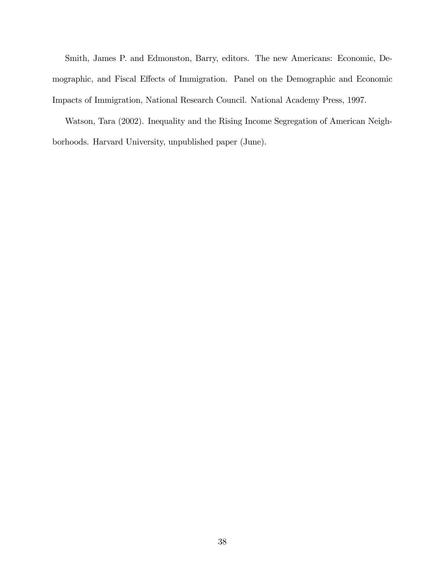Smith, James P. and Edmonston, Barry, editors. The new Americans: Economic, Demographic, and Fiscal Effects of Immigration. Panel on the Demographic and Economic Impacts of Immigration, National Research Council. National Academy Press, 1997.

Watson, Tara (2002). Inequality and the Rising Income Segregation of American Neighborhoods. Harvard University, unpublished paper (June).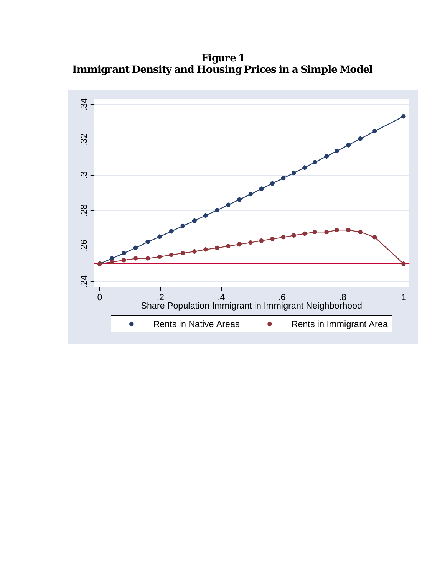**Figure 1 Immigrant Density and Housing Prices in a Simple Model** 

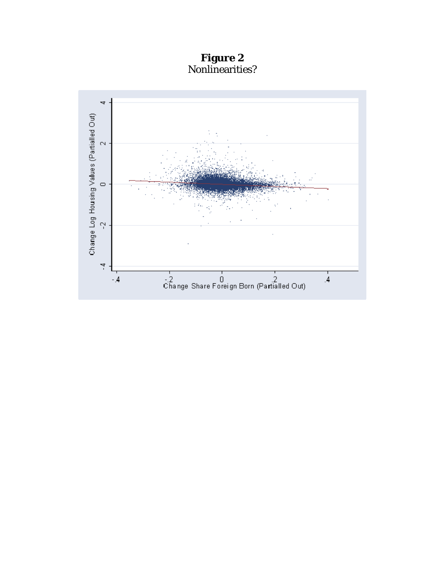**Figure 2**  Nonlinearities?

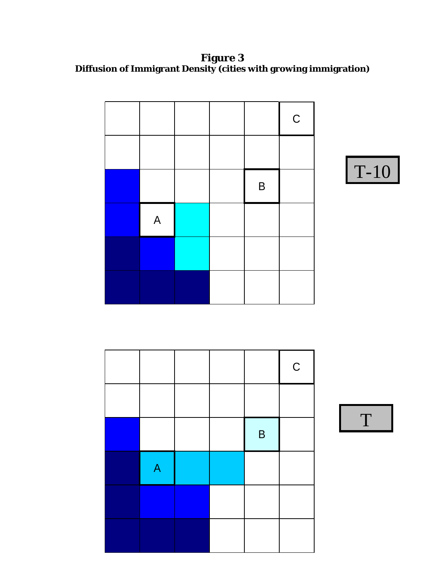**Figure 3 Diffusion of Immigrant Density (cities with growing immigration)** 





|   |  |             | $\mathsf C$ |
|---|--|-------------|-------------|
|   |  |             |             |
|   |  | $\mathsf B$ |             |
| A |  |             |             |
|   |  |             |             |
|   |  |             |             |

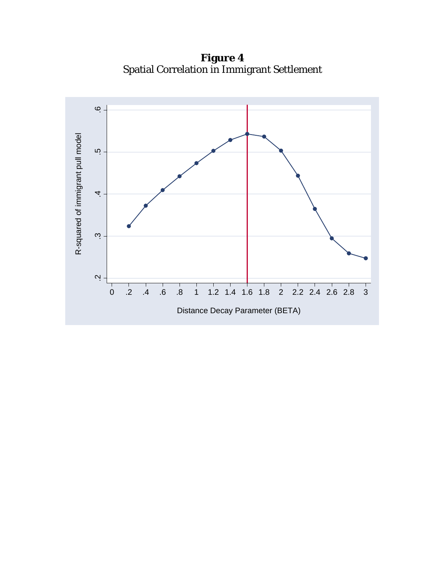**Figure 4**  Spatial Correlation in Immigrant Settlement

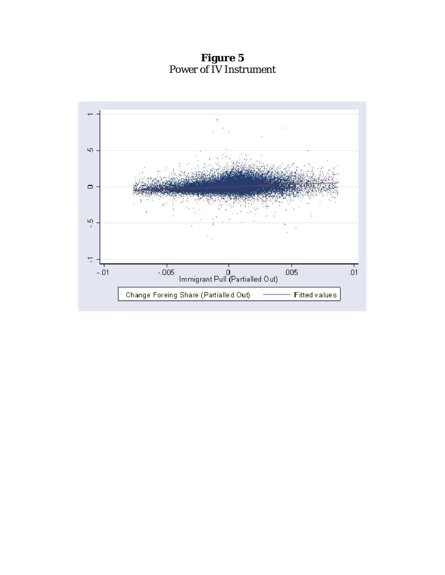**Figure 5**  Power of IV Instrument

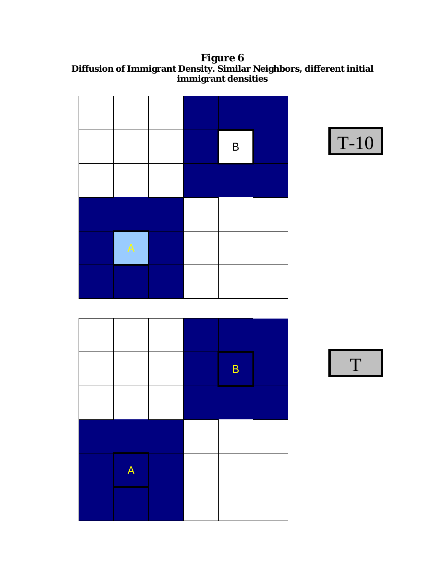**Figure 6 Diffusion of Immigrant Density. Similar Neighbors, different initial immigrant densities** 

|   |  | B |  |
|---|--|---|--|
|   |  |   |  |
|   |  |   |  |
| A |  |   |  |
|   |  |   |  |



|   |  | B |  |
|---|--|---|--|
|   |  |   |  |
|   |  |   |  |
| A |  |   |  |
|   |  |   |  |

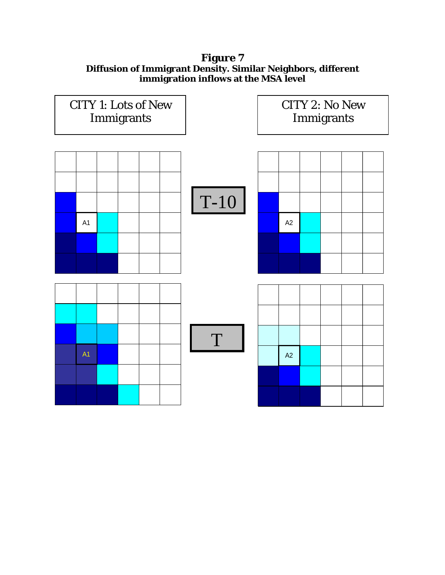#### **Figure 7 Diffusion of Immigrant Density. Similar Neighbors, different immigration inflows at the MSA level**

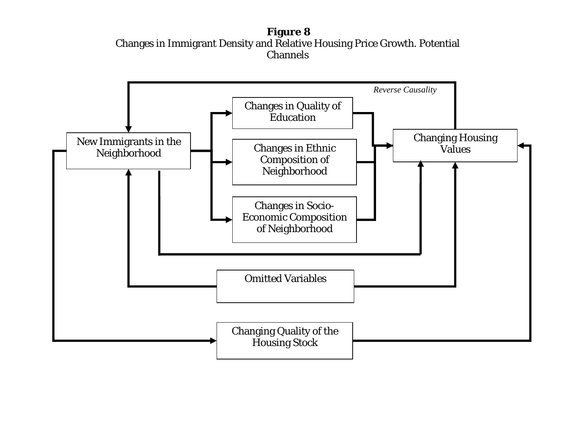**Figure 8**  Changes in Immigrant Density and Relative Housing Price Growth. Potential **Channels** 

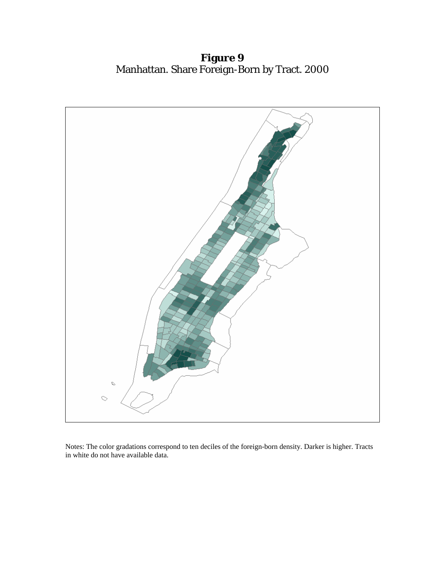**Figure 9** Manhattan. Share Foreign-Born by Tract. 2000



Notes: The color gradations correspond to ten deciles of the foreign-born density. Darker is higher. Tracts in white do not have available data.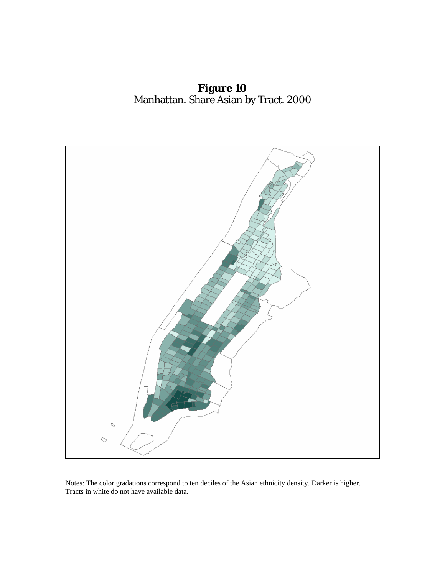**Figure 10** Manhattan. Share Asian by Tract. 2000



Notes: The color gradations correspond to ten deciles of the Asian ethnicity density. Darker is higher. Tracts in white do not have available data.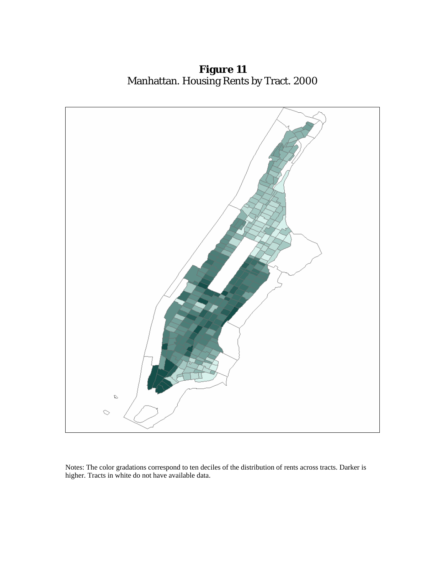**Figure 11** Manhattan. Housing Rents by Tract. 2000



Notes: The color gradations correspond to ten deciles of the distribution of rents across tracts. Darker is higher. Tracts in white do not have available data.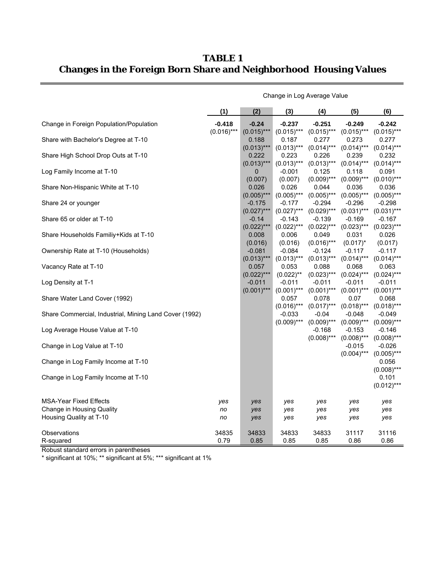**TABLE 1 Changes in the Foreign Born Share and Neighborhood Housing Values**

|                                                        | Change in Log Average Value |                           |                           |                           |                           |                                        |  |  |
|--------------------------------------------------------|-----------------------------|---------------------------|---------------------------|---------------------------|---------------------------|----------------------------------------|--|--|
|                                                        | (1)                         | (2)                       | (3)                       | (4)                       | (5)                       | (6)                                    |  |  |
| Change in Foreign Population/Population                | $-0.418$                    | $-0.24$                   | $-0.237$                  | $-0.251$                  | $-0.249$                  | $-0.242$                               |  |  |
| Share with Bachelor's Degree at T-10                   | $(0.016)$ ***               | $(0.015)***$<br>0.188     | $(0.015)$ ***<br>0.187    | $(0.015)$ ***<br>0.277    | $(0.015)$ ***<br>0.273    | $(0.015)$ ***<br>0.277                 |  |  |
| Share High School Drop Outs at T-10                    |                             | $(0.013)***$<br>0.222     | $(0.013)***$<br>0.223     | $(0.014)$ ***<br>0.226    | $(0.014)$ ***<br>0.239    | $(0.014)$ ***<br>0.232                 |  |  |
| Log Family Income at T-10                              |                             | $(0.013)***$<br>0         | $(0.013)***$<br>$-0.001$  | $(0.013)***$<br>0.125     | $(0.014)$ ***<br>0.118    | $(0.014)$ ***<br>0.091                 |  |  |
| Share Non-Hispanic White at T-10                       |                             | (0.007)<br>0.026          | (0.007)<br>0.026          | $(0.009)$ ***<br>0.044    | $(0.009)$ ***<br>0.036    | $(0.010)$ ***<br>0.036                 |  |  |
| Share 24 or younger                                    |                             | $(0.005)$ ***<br>$-0.175$ | $(0.005)$ ***<br>$-0.177$ | $(0.005)$ ***<br>$-0.294$ | $(0.005)$ ***<br>$-0.296$ | $(0.005)$ ***<br>$-0.298$              |  |  |
| Share 65 or older at T-10                              |                             | $(0.027)$ ***<br>$-0.14$  | $(0.027)$ ***<br>$-0.143$ | $(0.029)$ ***<br>$-0.139$ | $(0.031)***$<br>$-0.169$  | $(0.031)***$<br>$-0.167$               |  |  |
| Share Households Familiy+Kids at T-10                  |                             | $(0.022)$ ***<br>0.008    | $(0.022)$ ***<br>0.006    | $(0.022)$ ***<br>0.049    | $(0.023)***$<br>0.031     | $(0.023)***$<br>0.026                  |  |  |
| Ownership Rate at T-10 (Households)                    |                             | (0.016)<br>$-0.081$       | (0.016)<br>$-0.084$       | $(0.016)$ ***<br>$-0.124$ | $(0.017)^*$<br>$-0.117$   | (0.017)<br>$-0.117$                    |  |  |
| Vacancy Rate at T-10                                   |                             | $(0.013)***$<br>0.057     | $(0.013)***$<br>0.053     | $(0.013)***$<br>0.088     | $(0.014)$ ***<br>0.068    | $(0.014)$ ***<br>0.063                 |  |  |
| Log Density at T-1                                     |                             | $(0.022)***$<br>$-0.011$  | $(0.022)$ **<br>$-0.011$  | $(0.023)***$<br>$-0.011$  | $(0.024)$ ***<br>$-0.011$ | $(0.024)$ ***<br>$-0.011$              |  |  |
| Share Water Land Cover (1992)                          |                             | $(0.001)$ ***             | $(0.001)$ ***<br>0.057    | $(0.001)$ ***<br>0.078    | $(0.001)$ ***<br>0.07     | $(0.001)$ ***<br>0.068                 |  |  |
| Share Commercial, Industrial, Mining Land Cover (1992) |                             |                           | $(0.016)***$<br>$-0.033$  | $(0.017)$ ***<br>$-0.04$  | $(0.018)$ ***<br>$-0.048$ | $(0.018)$ ***<br>$-0.049$              |  |  |
| Log Average House Value at T-10                        |                             |                           | $(0.009)$ ***             | $(0.009)$ ***<br>$-0.168$ | $(0.009)$ ***<br>-0.153   | $(0.009)$ ***<br>$-0.146$              |  |  |
| Change in Log Value at T-10                            |                             |                           |                           | $(0.008)$ ***             | $(0.008)$ ***<br>$-0.015$ | $(0.008)$ ***<br>$-0.026$              |  |  |
| Change in Log Family Income at T-10                    |                             |                           |                           |                           | $(0.004)$ ***             | $(0.005)$ ***<br>0.056                 |  |  |
| Change in Log Family Income at T-10                    |                             |                           |                           |                           |                           | $(0.008)$ ***<br>0.101<br>$(0.012)***$ |  |  |
| <b>MSA-Year Fixed Effects</b>                          | yes                         | yes                       | yes                       | yes                       | yes                       | yes                                    |  |  |
| Change in Housing Quality<br>Housing Quality at T-10   | no<br>no                    | yes<br>yes                | yes<br>yes                | yes<br>yes                | yes<br>yes                | yes<br>yes                             |  |  |
| Observations                                           | 34835                       | 34833                     | 34833                     | 34833                     | 31117                     | 31116                                  |  |  |
| R-squared                                              | 0.79                        | 0.85                      | 0.85                      | 0.85                      | 0.86                      | 0.86                                   |  |  |

Robust standard errors in parentheses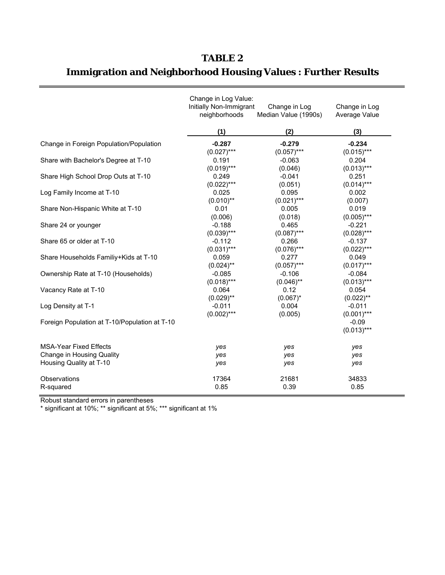| TABLE | Œ |
|-------|---|
|-------|---|

# **Immigration and Neighborhood Housing Values : Further Results**

|                                               | Change in Log Value:<br>Initially Non-Immigrant<br>neighborhoods | Change in Log<br>Median Value (1990s) | Change in Log<br>Average Value |
|-----------------------------------------------|------------------------------------------------------------------|---------------------------------------|--------------------------------|
|                                               | (1)                                                              | (2)                                   | (3)                            |
| Change in Foreign Population/Population       | $-0.287$                                                         | $-0.279$                              | $-0.234$                       |
|                                               | $(0.027)$ ***                                                    | $(0.057)$ ***                         | $(0.015)***$                   |
| Share with Bachelor's Degree at T-10          | 0.191                                                            | $-0.063$                              | 0.204                          |
|                                               | $(0.019)$ ***                                                    | (0.046)                               | $(0.013)***$                   |
| Share High School Drop Outs at T-10           | 0.249                                                            | $-0.041$                              | 0.251                          |
|                                               | $(0.022)***$                                                     | (0.051)                               | $(0.014)$ ***                  |
| Log Family Income at T-10                     | 0.025                                                            | 0.095                                 | 0.002                          |
|                                               | $(0.010)$ **                                                     | $(0.021)$ ***                         | (0.007)                        |
| Share Non-Hispanic White at T-10              | 0.01                                                             | 0.005                                 | 0.019                          |
|                                               | (0.006)                                                          | (0.018)                               | $(0.005)$ ***                  |
| Share 24 or younger                           | $-0.188$                                                         | 0.465                                 | $-0.221$                       |
|                                               | $(0.039)$ ***                                                    | $(0.087)$ ***                         | $(0.028)$ ***                  |
| Share 65 or older at T-10                     | $-0.112$                                                         | 0.266                                 | $-0.137$                       |
|                                               | $(0.031)$ ***                                                    | $(0.076)$ ***                         | $(0.022)***$                   |
| Share Households Familiy+Kids at T-10         | 0.059                                                            | 0.277                                 | 0.049                          |
|                                               | $(0.024)$ **                                                     | $(0.057)$ ***                         | $(0.017)$ ***                  |
| Ownership Rate at T-10 (Households)           | $-0.085$                                                         | $-0.106$                              | $-0.084$                       |
|                                               | $(0.018)***$                                                     | $(0.046)$ **                          | $(0.013)***$                   |
| Vacancy Rate at T-10                          | 0.064                                                            | 0.12                                  | 0.054                          |
|                                               | $(0.029)$ **                                                     | $(0.067)^*$                           | $(0.022)$ **                   |
| Log Density at T-1                            | $-0.011$                                                         | 0.004                                 | $-0.011$                       |
|                                               | $(0.002)$ ***                                                    | (0.005)                               | $(0.001)$ ***                  |
| Foreign Population at T-10/Population at T-10 |                                                                  |                                       | $-0.09$<br>$(0.013)***$        |
| <b>MSA-Year Fixed Effects</b>                 | yes                                                              | yes                                   | yes                            |
| <b>Change in Housing Quality</b>              | yes                                                              | yes                                   | yes                            |
| Housing Quality at T-10                       | yes                                                              | yes                                   | yes                            |
| Observations                                  | 17364                                                            | 21681                                 | 34833                          |
| R-squared                                     | 0.85                                                             | 0.39                                  | 0.85                           |

Robust standard errors in parentheses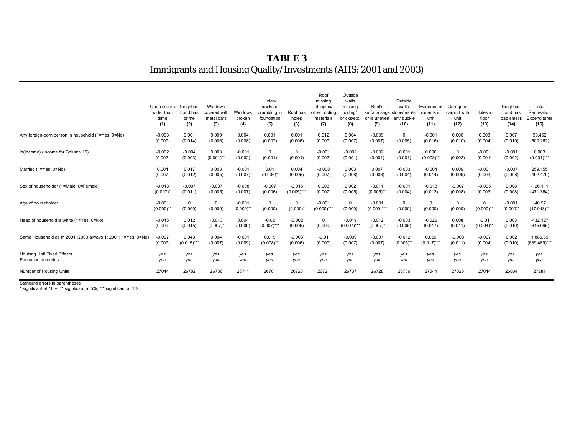#### **TABLE 3** Immigrants and Housing Quality/Investments (AHS: 2001 and 2003)

|                                                              | Open cracks<br>wider than<br>dime<br>(1) | Neighbor-<br>hood has<br>crime<br>(2) | Windows<br>covered with<br>metal bars<br>(3) | Windows<br>broken<br>(4) | Holes/<br>cracks or<br>crumbling in<br>foundation<br>(5) | Roof has<br>holes<br>(6) | Roof<br>missing<br>shingles/<br>other roofing<br>materials<br>(7) | Outside<br>walls<br>missing<br>siding/<br>bricks/etc<br>(8) | Roof's<br>surface sags slope/lean/sl<br>or is uneven<br>(9) | Outside<br>walls<br>ant/buckle<br>(10) | Evidence of<br>rodents in<br>unit<br>(11) | Garage or<br>carport with<br>unit<br>(12) | Holes in<br>floor<br>(13) | Neighbor-<br>hood has<br>bad smells<br>(14) | Total<br>Renovation<br>Expenditures<br>(15) |
|--------------------------------------------------------------|------------------------------------------|---------------------------------------|----------------------------------------------|--------------------------|----------------------------------------------------------|--------------------------|-------------------------------------------------------------------|-------------------------------------------------------------|-------------------------------------------------------------|----------------------------------------|-------------------------------------------|-------------------------------------------|---------------------------|---------------------------------------------|---------------------------------------------|
| Any foreign-born person in household (1=Yes, 0=No)           | $-0.003$                                 | 0.001                                 | 0.009                                        | 0.004                    | 0.001                                                    | 0.001                    | 0.012                                                             | 0.004                                                       | $-0.009$                                                    | $\Omega$                               | $-0.001$                                  | 0.006                                     | 0.003                     | 0.007                                       | 99.462                                      |
|                                                              | (0.009)                                  | (0.014)                               | (0.006)                                      | (0.008)                  | (0.007)                                                  | (0.006)                  | (0.009)                                                           | (0.007)                                                     | (0.007)                                                     | (0.005)                                | (0.016)                                   | (0.010)                                   | (0.004)                   | (0.010)                                     | (600.262)                                   |
| In(Income) (Income for Column 15)                            | $-0.002$                                 | $-0.004$                              | 0.003                                        | $-0.001$                 | $\mathbf 0$                                              | 0                        | $-0.001$                                                          | $-0.002$                                                    | $-0.002$                                                    | $-0.001$                               | 0.006                                     | $\mathbf 0$                               | $-0.001$                  | $-0.001$                                    | 0.003                                       |
|                                                              | (0.002)                                  | (0.003)                               | $(0.001)$ **                                 | (0.002)                  | (0.001)                                                  | (0.001)                  | (0.002)                                                           | (0.001)                                                     | (0.001)                                                     | (0.001)                                | $(0.003)$ **                              | (0.002)                                   | (0.001)                   | (0.002)                                     | $(0.001)$ ***                               |
| Married (1=Yes, 0=No)                                        | 0.004                                    | 0.017                                 | 0.003                                        | $-0.001$                 | 0.01                                                     | 0.004                    | $-0.008$                                                          | 0.003                                                       | 0.007                                                       | $-0.003$                               | $-0.004$                                  | 0.009                                     | $-0.001$                  | $-0.007$                                    | 259.155                                     |
|                                                              | (0.007)                                  | (0.012)                               | (0.005)                                      | (0.007)                  | $(0.006)^*$                                              | (0.005)                  | (0.007)                                                           | (0.006)                                                     | (0.006)                                                     | (0.004)                                | (0.014)                                   | (0.009)                                   | (0.003)                   | (0.008)                                     | (492.479)                                   |
| Sex of householder (1=Male, 0=Female)                        | $-0.013$                                 | $-0.007$                              | $-0.007$                                     | $-0.008$                 | $-0.007$                                                 | $-0.015$                 | 0.003                                                             | 0.002                                                       | $-0.011$                                                    | $-0.001$                               | $-0.013$                                  | $-0.007$                                  | $-0.005$                  | 0.008                                       | $-126.111$                                  |
|                                                              | $(0.007)^*$                              | (0.011)                               | (0.005)                                      | (0.007)                  | (0.006)                                                  | $(0.005)***$             | (0.007)                                                           | (0.005)                                                     | $(0.005)$ **                                                | (0.004)                                | (0.013)                                   | (0.008)                                   | (0.003)                   | (0.008)                                     | (471.364)                                   |
| Age of householder                                           | $-0.001$                                 | $\mathbf 0$                           | $\mathbf 0$                                  | $-0.001$                 | $\mathbf 0$                                              | $\Omega$                 | $-0.001$                                                          | 0                                                           | $-0.001$                                                    | $\Omega$                               | $\mathbf 0$                               | $\mathbf 0$                               | $\Omega$                  | $-0.001$                                    | $-40.97$                                    |
|                                                              | $(0.000)$ **                             | (0.000)                               | (0.000)                                      | $(0.000)$ **             | (0.000)                                                  | $(0.000)^*$              | $(0.000)$ ***                                                     | (0.000)                                                     | $(0.000)$ ***                                               | (0.000)                                | (0.000)                                   | (0.000)                                   | $(0.000)$ **              | $(0.000)^*$                                 | $(17.943)$ **                               |
| Head of household is white (1=Yes, 0=No)                     | $-0.015$                                 | 0.012                                 | $-0.013$                                     | 0.004                    | $-0.02$                                                  | $-0.002$                 | $\mathbf 0$                                                       | $-0.019$                                                    | $-0.012$                                                    | $-0.003$                               | $-0.026$                                  | 0.008                                     | $-0.01$                   | 0.003                                       | $-432.127$                                  |
|                                                              | (0.009)                                  | (0.015)                               | $(0.007)^*$                                  | (0.009)                  | $(0.007)$ ***                                            | (0.006)                  | (0.009)                                                           | $(0.007)$ ***                                               | $(0.007)^*$                                                 | (0.005)                                | (0.017)                                   | (0.011)                                   | $(0.004)$ **              | (0.010)                                     | (615.095)                                   |
| Same Household as in 2001 (2003 always 1; 2001: 1=Yes, 0=No) | $-0.007$                                 | 0.043                                 | 0.004                                        | $-0.001$                 | 0.019                                                    | $-0.003$                 | $-0.01$                                                           | $-0.009$                                                    | $-0.007$                                                    | $-0.012$                               | 0.069                                     | $-0.008$                                  | $-0.007$                  | 0.002                                       | 1,886.89                                    |
|                                                              | (0.009)                                  | $(0.015)$ ***                         | (0.007)                                      | (0.009)                  | $(0.008)$ **                                             | (0.006)                  | (0.009)                                                           | (0.007)                                                     | (0.007)                                                     | $(0.005)$ **                           | $(0.017)$ ***                             | (0.011)                                   | (0.004)                   | (0.010)                                     | $(639.489)$ **                              |
| <b>Houisng Unit Fixed Effects</b>                            | yes                                      | yes                                   | yes                                          | yes                      | yes                                                      | yes                      | yes                                                               | yes                                                         | yes                                                         | yes                                    | yes                                       | yes                                       | yes                       | ves                                         | yes                                         |
| <b>Education dummies</b>                                     | yes                                      | yes                                   | ves                                          | yes                      | yes                                                      | yes                      | yes                                                               | yes                                                         | yes                                                         | yes                                    | yes                                       | yes                                       | yes                       | yes                                         | yes                                         |
| Number of Housing Units                                      | 27044                                    | 26782                                 | 26736                                        | 26741                    | 26701                                                    | 26728                    | 26721                                                             | 26737                                                       | 26728                                                       | 26736                                  | 27044                                     | 27025                                     | 27044                     | 26834                                       | 27281                                       |

Standard errors in parentheses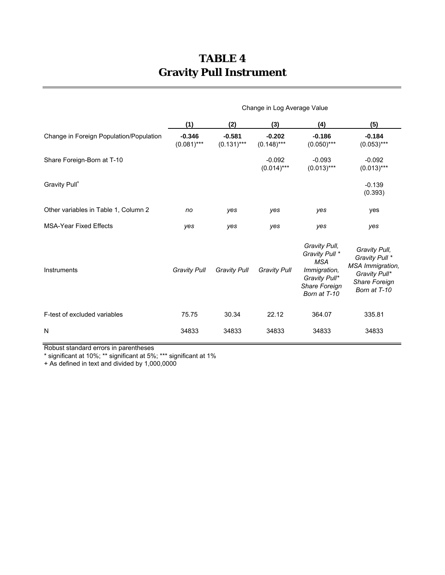## **TABLE 4 Gravity Pull Instrument**

|                                         | Change in Log Average Value |                          |                           |                                                                                                                 |                                                                                                       |  |  |
|-----------------------------------------|-----------------------------|--------------------------|---------------------------|-----------------------------------------------------------------------------------------------------------------|-------------------------------------------------------------------------------------------------------|--|--|
|                                         | (1)                         | (2)                      | (3)                       | (4)                                                                                                             | (5)                                                                                                   |  |  |
| Change in Foreign Population/Population | $-0.346$<br>$(0.081)$ ***   | $-0.581$<br>$(0.131)***$ | $-0.202$<br>$(0.148)$ *** | $-0.186$<br>$(0.050)$ ***                                                                                       | $-0.184$<br>$(0.053)***$                                                                              |  |  |
| Share Foreign-Born at T-10              |                             |                          | $-0.092$<br>$(0.014)***$  | $-0.093$<br>$(0.013)***$                                                                                        | $-0.092$<br>$(0.013)***$                                                                              |  |  |
| Gravity Pull <sup>+</sup>               |                             |                          |                           |                                                                                                                 | $-0.139$<br>(0.393)                                                                                   |  |  |
| Other variables in Table 1, Column 2    | no                          | yes                      | yes                       | yes                                                                                                             | yes                                                                                                   |  |  |
| <b>MSA-Year Fixed Effects</b>           | yes                         | yes                      | yes                       | yes                                                                                                             | yes                                                                                                   |  |  |
| Instruments                             | <b>Gravity Pull</b>         | <b>Gravity Pull</b>      | <b>Gravity Pull</b>       | Gravity Pull,<br>Gravity Pull *<br><b>MSA</b><br>Immigration,<br>Gravity Pull*<br>Share Foreign<br>Born at T-10 | Gravity Pull,<br>Gravity Pull *<br>MSA Immigration,<br>Gravity Pull*<br>Share Foreign<br>Born at T-10 |  |  |
| F-test of excluded variables            | 75.75                       | 30.34                    | 22.12                     | 364.07                                                                                                          | 335.81                                                                                                |  |  |
| N                                       | 34833                       | 34833                    | 34833                     | 34833                                                                                                           | 34833                                                                                                 |  |  |

Robust standard errors in parentheses

\* significant at 10%; \*\* significant at 5%; \*\*\* significant at 1%

+ As defined in text and divided by 1,000,0000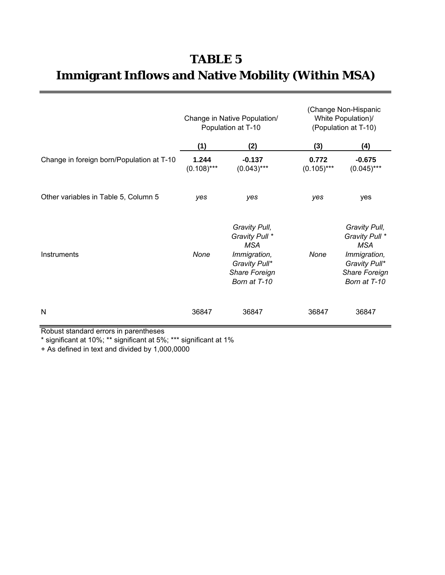# **TABLE 5 Immigrant Inflows and Native Mobility (Within MSA)**

|                                           | Change in Native Population/<br>Population at T-10 |                                                                                                                 | (Change Non-Hispanic<br>White Population)/<br>(Population at T-10) |                                                                                                                 |  |
|-------------------------------------------|----------------------------------------------------|-----------------------------------------------------------------------------------------------------------------|--------------------------------------------------------------------|-----------------------------------------------------------------------------------------------------------------|--|
|                                           | (1)                                                | (2)                                                                                                             | (3)                                                                | (4)                                                                                                             |  |
| Change in foreign born/Population at T-10 | 1.244<br>$(0.108)$ ***                             | $-0.137$<br>$(0.043)$ ***                                                                                       | 0.772<br>$(0.105)$ ***                                             | $-0.675$<br>$(0.045)$ ***                                                                                       |  |
| Other variables in Table 5, Column 5      | yes                                                | yes                                                                                                             | yes                                                                | yes                                                                                                             |  |
| Instruments                               | None                                               | Gravity Pull,<br>Gravity Pull *<br><b>MSA</b><br>Immigration,<br>Gravity Pull*<br>Share Foreign<br>Born at T-10 | None                                                               | Gravity Pull,<br>Gravity Pull *<br><b>MSA</b><br>Immigration,<br>Gravity Pull*<br>Share Foreign<br>Born at T-10 |  |
| N                                         | 36847                                              | 36847                                                                                                           | 36847                                                              | 36847                                                                                                           |  |

Robust standard errors in parentheses

\* significant at 10%; \*\* significant at 5%; \*\*\* significant at 1%

+ As defined in text and divided by 1,000,0000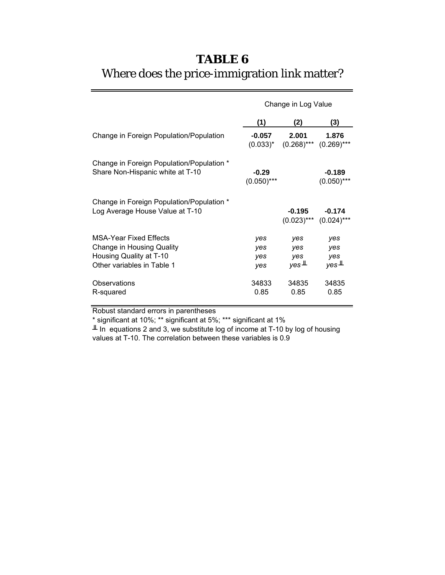# **TABLE 6** Where does the price-immigration link matter?

|                                                                              | Change in Log Value |                     |                                         |  |  |
|------------------------------------------------------------------------------|---------------------|---------------------|-----------------------------------------|--|--|
|                                                                              | (1)                 | (2)                 | (3)                                     |  |  |
| Change in Foreign Population/Population                                      | $-0.057$            | 2.001               | 1.876                                   |  |  |
|                                                                              | $(0.033)^{*}$       | $(0.268)$ ***       | $(0.269)$ ***                           |  |  |
| Change in Foreign Population/Population *                                    | $-0.29$             |                     | $-0.189$                                |  |  |
| Share Non-Hispanic white at T-10                                             | $(0.050)$ ***       |                     | $(0.050)$ ***                           |  |  |
| Change in Foreign Population/Population *<br>Log Average House Value at T-10 |                     | -0.195              | $-0.174$<br>$(0.023)$ *** $(0.024)$ *** |  |  |
| <b>MSA-Year Fixed Effects</b>                                                | yes                 | yes                 | yes                                     |  |  |
| Change in Housing Quality                                                    | yes                 | yes                 | yes                                     |  |  |
| Housing Quality at T-10                                                      | yes                 | yes                 | yes                                     |  |  |
| Other variables in Table 1                                                   | yes                 | $yes$ <sup>IL</sup> | $yes$ <sup>IL</sup>                     |  |  |
| Observations                                                                 | 34833               | 34835               | 34835                                   |  |  |
| R-squared                                                                    | 0.85                | 0.85                | 0.85                                    |  |  |

Robust standard errors in parentheses

\* significant at 10%; \*\* significant at 5%; \*\*\* significant at 1%

 $\perp$  In equations 2 and 3, we substitute log of income at T-10 by log of housing values at T-10. The correlation between these variables is 0.9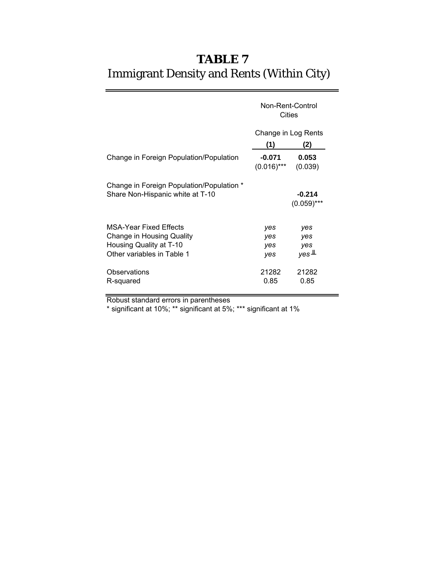# Immigrant Density and Rents (Within City) **TABLE 7**

|                                                                                                                     | Non-Rent-Control<br>Cities |                                          |  |  |
|---------------------------------------------------------------------------------------------------------------------|----------------------------|------------------------------------------|--|--|
|                                                                                                                     | Change in Log Rents        |                                          |  |  |
|                                                                                                                     | (1)                        | (2)                                      |  |  |
| Change in Foreign Population/Population                                                                             | $-0.071$<br>$(0.016)$ ***  | 0.053<br>(0.039)                         |  |  |
| Change in Foreign Population/Population *<br>Share Non-Hispanic white at T-10                                       |                            | $-0.214$<br>$(0.059)$ ***                |  |  |
| <b>MSA-Year Fixed Effects</b><br>Change in Housing Quality<br>Housing Quality at T-10<br>Other variables in Table 1 | yes<br>yes<br>yes<br>yes   | yes<br>yes<br>yes<br>$yes$ <sup>IL</sup> |  |  |
| Observations<br>R-squared                                                                                           | 21282<br>0.85              | 21282<br>0.85                            |  |  |

Robust standard errors in parentheses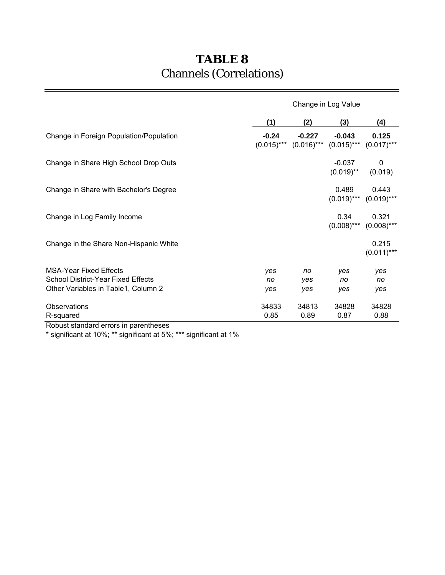# **TABLE 8** Channels (Correlations)

|                                                                                                            | Change in Log Value |                  |                                                       |                        |  |  |
|------------------------------------------------------------------------------------------------------------|---------------------|------------------|-------------------------------------------------------|------------------------|--|--|
|                                                                                                            | (1)                 | (2)              | (3)                                                   | (4)                    |  |  |
| Change in Foreign Population/Population                                                                    | $-0.24$             | $-0.227$         | $-0.043$<br>$(0.015)$ *** $(0.016)$ *** $(0.015)$ *** | 0.125<br>$(0.017)$ *** |  |  |
| Change in Share High School Drop Outs                                                                      |                     |                  | $-0.037$<br>$(0.019)$ **                              | 0<br>(0.019)           |  |  |
| Change in Share with Bachelor's Degree                                                                     |                     |                  | 0.489<br>$(0.019)$ ***                                | 0.443<br>$(0.019)$ *** |  |  |
| Change in Log Family Income                                                                                |                     |                  | 0.34<br>$(0.008)$ ***                                 | 0.321<br>$(0.008)$ *** |  |  |
| Change in the Share Non-Hispanic White                                                                     |                     |                  |                                                       | 0.215<br>$(0.011)$ *** |  |  |
| <b>MSA-Year Fixed Effects</b><br>School District-Year Fixed Effects<br>Other Variables in Table1, Column 2 | yes<br>no<br>yes    | no<br>yes<br>yes | yes<br>no<br>yes                                      | yes<br>no<br>yes       |  |  |
| Observations<br>R-squared                                                                                  | 34833<br>0.85       | 34813<br>0.89    | 34828<br>0.87                                         | 34828<br>0.88          |  |  |

Robust standard errors in parentheses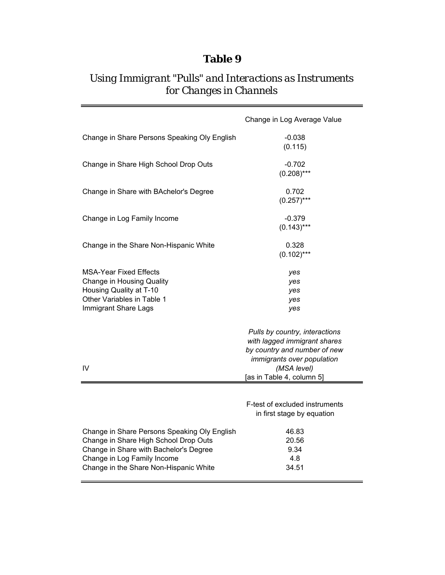### **Table 9**

### *Using Immigrant "Pulls" and Interactions as Instruments for Changes in Channels*

|                                                                                                                                                                                                          | Change in Log Average Value                                                                                                  |
|----------------------------------------------------------------------------------------------------------------------------------------------------------------------------------------------------------|------------------------------------------------------------------------------------------------------------------------------|
| Change in Share Persons Speaking Oly English                                                                                                                                                             | $-0.038$<br>(0.115)                                                                                                          |
| Change in Share High School Drop Outs                                                                                                                                                                    | $-0.702$<br>$(0.208)$ ***                                                                                                    |
| Change in Share with BAchelor's Degree                                                                                                                                                                   | 0.702<br>$(0.257)$ ***                                                                                                       |
| Change in Log Family Income                                                                                                                                                                              | $-0.379$<br>$(0.143)***$                                                                                                     |
| Change in the Share Non-Hispanic White                                                                                                                                                                   | 0.328<br>$(0.102)$ ***                                                                                                       |
| MSA-Year Fixed Effects<br><b>Change in Housing Quality</b><br>Housing Quality at T-10<br>Other Variables in Table 1<br>Immigrant Share Lags                                                              | yes<br>yes<br>yes<br>yes<br>yes                                                                                              |
|                                                                                                                                                                                                          | Pulls by country, interactions<br>with lagged immigrant shares<br>by country and number of new<br>immigrants over population |
| IV                                                                                                                                                                                                       | (MSA level)<br>[as in Table 4, column 5]                                                                                     |
|                                                                                                                                                                                                          | F-test of excluded instruments<br>in first stage by equation                                                                 |
| Change in Share Persons Speaking Oly English<br>Change in Share High School Drop Outs<br>Change in Share with Bachelor's Degree<br>Change in Log Family Income<br>Change in the Share Non-Hispanic White | 46.83<br>20.56<br>9.34<br>4.8<br>34.51                                                                                       |

 $\equiv$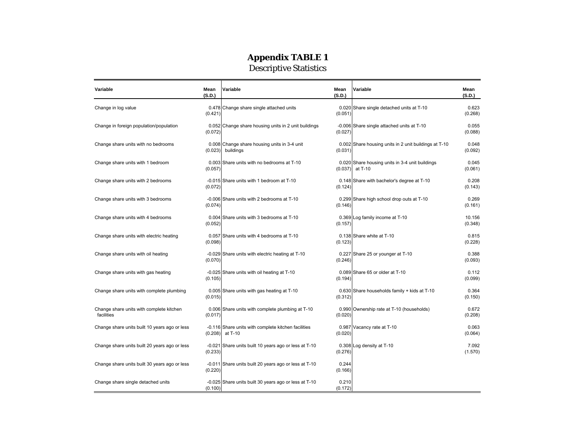#### **Appendix TABLE 1**

Descriptive Statistics

| Variable                                               | Mean<br>(S.D.) | Variable                                                       | Mean<br>(S.D.)   | Variable                                                   | Mean<br>(S.D.)    |
|--------------------------------------------------------|----------------|----------------------------------------------------------------|------------------|------------------------------------------------------------|-------------------|
| Change in log value                                    | (0.421)        | 0.478 Change share single attached units                       | (0.051)          | 0.020 Share single detached units at T-10                  | 0.623<br>(0.268)  |
| Change in foreign population/population                | (0.072)        | 0.052 Change share housing units in 2 unit buildings           | (0.027)          | -0.006 Share single attached units at T-10                 | 0.055<br>(0.088)  |
| Change share units with no bedrooms                    | (0.023)        | 0.008 Change share housing units in 3-4 unit<br>buildings      | (0.031)          | 0.002 Share housing units in 2 unit buildings at T-10      | 0.048<br>(0.092)  |
| Change share units with 1 bedroom                      | (0.057)        | 0.003 Share units with no bedrooms at T-10                     | (0.037)          | 0.020 Share housing units in 3-4 unit buildings<br>at T-10 | 0.045<br>(0.061)  |
| Change share units with 2 bedrooms                     | (0.072)        | -0.015 Share units with 1 bedroom at T-10                      | (0.124)          | 0.148 Share with bachelor's degree at T-10                 | 0.208<br>(0.143)  |
| Change share units with 3 bedrooms                     | (0.074)        | -0.006 Share units with 2 bedrooms at T-10                     | (0.146)          | 0.299 Share high school drop outs at T-10                  | 0.269<br>(0.161)  |
| Change share units with 4 bedrooms                     | (0.052)        | 0.004 Share units with 3 bedrooms at T-10                      | (0.157)          | 0.369 Log family income at T-10                            | 10.156<br>(0.348) |
| Change share units with electric heating               | (0.098)        | 0.057 Share units with 4 bedrooms at T-10                      | (0.123)          | 0.138 Share white at T-10                                  | 0.815<br>(0.228)  |
| Change share units with oil heating                    | (0.070)        | -0.029 Share units with electric heating at T-10               | (0.246)          | 0.227 Share 25 or younger at T-10                          | 0.388<br>(0.093)  |
| Change share units with gas heating                    | (0.105)        | -0.025 Share units with oil heating at T-10                    | (0.194)          | 0.089 Share 65 or older at T-10                            | 0.112<br>(0.099)  |
| Change share units with complete plumbing              | (0.015)        | 0.005 Share units with gas heating at T-10                     | (0.312)          | 0.630 Share households family + kids at T-10               | 0.364<br>(0.150)  |
| Change share units with complete kitchen<br>facilities | (0.017)        | 0.006 Share units with complete plumbing at T-10               | (0.020)          | 0.990 Ownership rate at T-10 (households)                  | 0.672<br>(0.208)  |
| Change share units built 10 years ago or less          | (0.208)        | -0.116 Share units with complete kitchen facilities<br>at T-10 | (0.020)          | 0.987 Vacancy rate at T-10                                 | 0.063<br>(0.064)  |
| Change share units built 20 years ago or less          | (0.233)        | -0.021 Share units built 10 years ago or less at T-10          | (0.276)          | 0.308 Log density at T-10                                  | 7.092<br>(1.570)  |
| Change share units built 30 years ago or less          | (0.220)        | -0.011 Share units built 20 years ago or less at T-10          | 0.244<br>(0.166) |                                                            |                   |
| Change share single detached units                     | (0.100)        | -0.025 Share units built 30 years ago or less at T-10          | 0.210<br>(0.172) |                                                            |                   |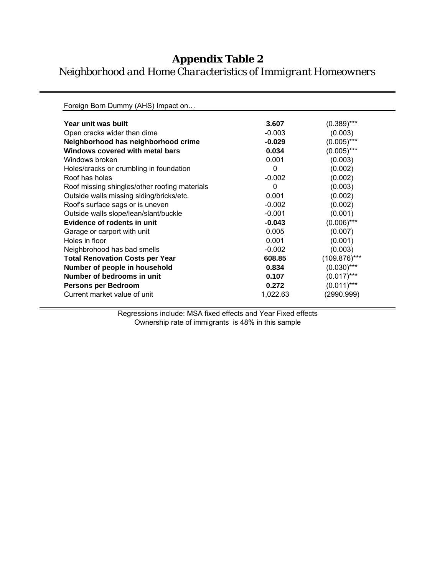### **Appendix Table 2**

*Neighborhood and Home Characteristics of Immigrant Homeowners*

Foreign Born Dummy (AHS) Impact on… **Year unit was built 1.400 and 1.400 and 1.400 and 1.400 and 1.400 and 1.400 and 1.400 and 1.400 and 1.400 and 1.400 and 1.400 and 1.400 and 1.400 and 1.400 and 1.400 and 1.400 and 1.400 and 1.400 and 1.400 and 1.400 and 1** Open cracks wider than dime  $-0.003$  (0.003) **Neighborhood has neighborhood crime**  $\qquad \qquad -0.029$  (0.005)<sup>\*\*\*</sup> Windows covered with metal bars **0.034** (0.005)\*\*\* Windows broken  $0.001$  (0.003) Holes/cracks or crumbling in foundation 0 (0.002) Roof has holes (0.002) (0.002) (0.002) Roof missing shingles/other roofing materials  $\qquad \qquad 0 \qquad \qquad$  (0.003) Outside walls missing siding/bricks/etc. 0.001 (0.002) Roof's surface sags or is uneven  $-0.002$  (0.002) Outside walls slope/lean/slant/buckle  $-0.001$  (0.001) **Evidence of rodents in unit 40.043**  $\cdot$  0.043 (0.006)\*\*\* Garage or carport with unit **Carporal Construction** on the construction of  $0.005$  (0.007) Holes in floor (0.001) (0.001) (0.001) (0.001) Neighbrohood has bad smells -0.002 (0.003) **Total Renovation Costs per Year 608.85 Number of people in household 6.834** (0.030)<sup>\*\*\*</sup> **Number of bedrooms in unit 1.000 (0.107** (0.017)<sup>\*\*\*</sup> **Persons per Bedroom 6.272** (0.011)\*\*\* Current market value of unit 1,022.63 (2990.999)

> Regressions include: MSA fixed effects and Year Fixed effects Ownership rate of immigrants is 48% in this sample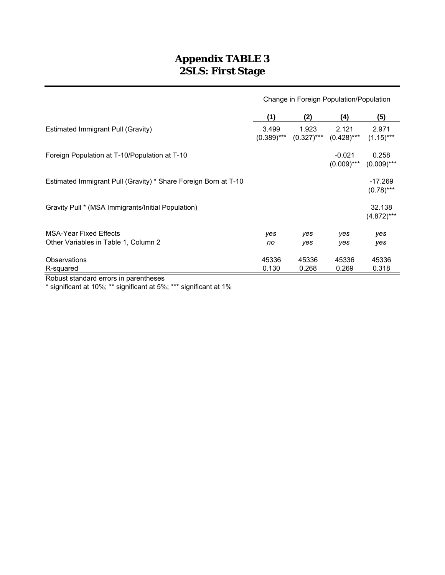### **Appendix TABLE 3 2SLS: First Stage**

|                                                                       | Change in Foreign Population/Population |                        |                           |                           |
|-----------------------------------------------------------------------|-----------------------------------------|------------------------|---------------------------|---------------------------|
|                                                                       | (1)                                     | (2)                    | (4)                       | (5)                       |
| Estimated Immigrant Pull (Gravity)                                    | 3.499<br>$(0.389)$ ***                  | 1.923<br>$(0.327)$ *** | 2.121<br>$(0.428)$ ***    | 2.971<br>$(1.15)***$      |
| Foreign Population at T-10/Population at T-10                         |                                         |                        | $-0.021$<br>$(0.009)$ *** | 0.258<br>$(0.009)$ ***    |
| Estimated Immigrant Pull (Gravity) * Share Foreign Born at T-10       |                                         |                        |                           | $-17.269$<br>$(0.78)$ *** |
| Gravity Pull * (MSA Immigrants/Initial Population)                    |                                         |                        |                           | 32.138<br>$(4.872)***$    |
| <b>MSA-Year Fixed Effects</b><br>Other Variables in Table 1, Column 2 | yes<br>no                               | yes<br>yes             | yes<br>yes                | yes<br>yes                |
| <b>Observations</b><br>R-squared                                      | 45336<br>0.130                          | 45336<br>0.268         | 45336<br>0.269            | 45336<br>0.318            |

Robust standard errors in parentheses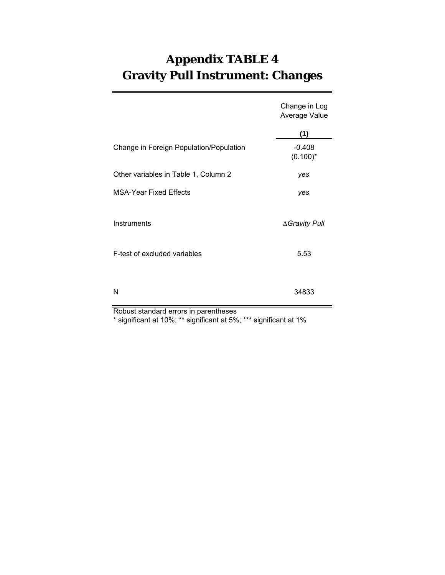# **Appendix TABLE 4 Gravity Pull Instrument: Changes**

|                                         | Change in Log<br>Average Value |
|-----------------------------------------|--------------------------------|
|                                         | (1)                            |
| Change in Foreign Population/Population | $-0.408$<br>$(0.100)^*$        |
| Other variables in Table 1, Column 2    | yes                            |
| <b>MSA-Year Fixed Effects</b>           | yes                            |
| Instruments                             | ∆Gravity Pull                  |
| F-test of excluded variables            | 5.53                           |
| Ν                                       | 34833                          |

Robust standard errors in parentheses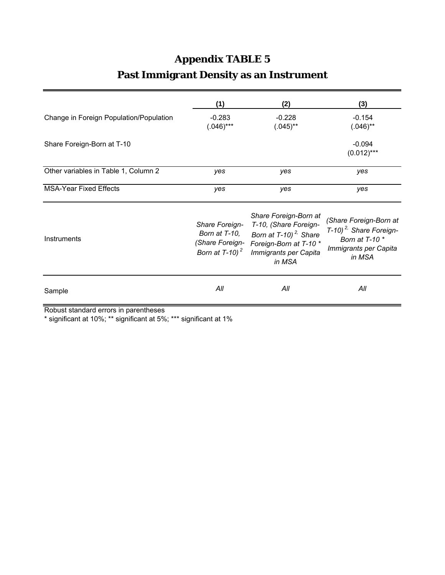# **Appendix TABLE 5**

# **Past Immigrant Density as an Instrument**

|                                         | (1)                                                                      | (2)                                                                                                                                                 | (3)                                                                                                               |
|-----------------------------------------|--------------------------------------------------------------------------|-----------------------------------------------------------------------------------------------------------------------------------------------------|-------------------------------------------------------------------------------------------------------------------|
| Change in Foreign Population/Population | $-0.283$<br>$(.046)$ ***                                                 | $-0.228$<br>$(.045)$ **                                                                                                                             | $-0.154$<br>$(.046)$ **                                                                                           |
| Share Foreign-Born at T-10              |                                                                          |                                                                                                                                                     | $-0.094$<br>$(0.012)$ ***                                                                                         |
| Other variables in Table 1, Column 2    | yes                                                                      | yes                                                                                                                                                 | yes                                                                                                               |
| <b>MSA-Year Fixed Effects</b>           | yes                                                                      | yes                                                                                                                                                 | yes                                                                                                               |
| Instruments                             | Share Foreign-<br>Born at T-10,<br>(Share Foreign-<br>Born at T-10) $^2$ | Share Foreign-Born at<br>T-10, (Share Foreign-<br>Born at $T-10$ ) <sup>2,</sup> Share<br>Foreign-Born at T-10 *<br>Immigrants per Capita<br>in MSA | (Share Foreign-Born at<br>T-10) <sup>2,</sup> Share Foreign-<br>Born at T-10 *<br>Immigrants per Capita<br>in MSA |
| Sample                                  | All                                                                      | All                                                                                                                                                 | All                                                                                                               |
| Pobuet etandard arrore in narantheeee   |                                                                          |                                                                                                                                                     |                                                                                                                   |

Robust standard errors in parentheses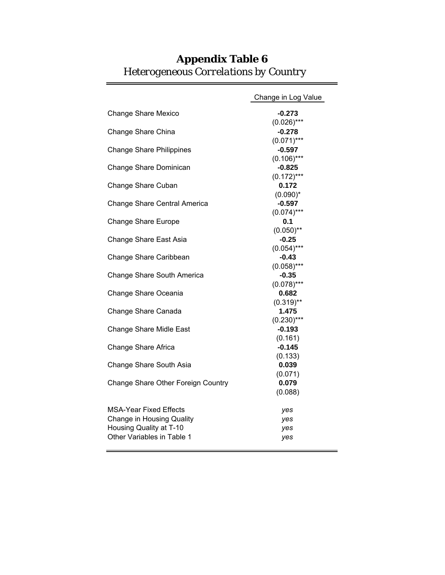|                                    | Change in Log Value       |
|------------------------------------|---------------------------|
| Change Share Mexico                | $-0.273$                  |
|                                    | $(0.026)$ ***             |
| Change Share China                 | $-0.278$                  |
|                                    | $(0.071)$ ***             |
| <b>Change Share Philippines</b>    | $-0.597$                  |
|                                    | $(0.106)$ ***             |
| Change Share Dominican             | $-0.825$                  |
|                                    | $(0.172)$ ***             |
| Change Share Cuban                 | 0.172                     |
|                                    | $(0.090)^*$               |
| Change Share Central America       | $-0.597$                  |
|                                    | $(0.074)$ ***             |
| <b>Change Share Europe</b>         | 0.1                       |
|                                    | $(0.050)$ **              |
| Change Share East Asia             | $-0.25$                   |
|                                    | $(0.054)$ ***             |
| Change Share Caribbean             | $-0.43$                   |
|                                    | $(0.058)$ ***             |
| Change Share South America         | $-0.35$                   |
|                                    | $(0.078)$ ***             |
| Change Share Oceania               | 0.682                     |
|                                    | $(0.319)$ **              |
| Change Share Canada                | 1.475                     |
|                                    | $(0.230)$ ***<br>$-0.193$ |
| <b>Change Share Midle East</b>     | (0.161)                   |
| Change Share Africa                | $-0.145$                  |
|                                    | (0.133)                   |
| Change Share South Asia            | 0.039                     |
|                                    | (0.071)                   |
| Change Share Other Foreign Country | 0.079                     |
|                                    | (0.088)                   |
|                                    |                           |
| MSA-Year Fixed Effects             | yes                       |
| Change in Housing Quality          | yes                       |
| Housing Quality at T-10            | yes                       |
| Other Variables in Table 1         | yes                       |
|                                    |                           |

### **Appendix Table 6** *Heterogeneous Correlations by Country*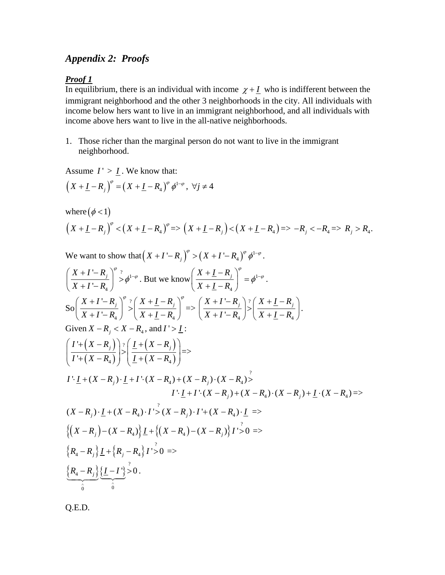#### *Appendix 2: Proofs*

#### *Proof 1*

In equilibrium, there is an individual with income  $\chi + I$  who is indifferent between the immigrant neighborhood and the other 3 neighborhoods in the city. All individuals with income below hers want to live in an immigrant neighborhood, and all individuals with income above hers want to live in the all-native neighborhoods.

1. Those richer than the marginal person do not want to live in the immigrant neighborhood.

Assume  $I' > I$ . We know that:

$$
\left(X+\underline{I}-R_j\right)^{\varphi}=\left(X+\underline{I}-R_4\right)^{\varphi}\phi^{1-\varphi},\ \forall j\neq 4
$$

where 
$$
(\phi < 1)
$$
  
\n $(X + \underline{I} - R_j)^{\circ} < (X + \underline{I} - R_4)^{\circ} \Rightarrow (X + \underline{I} - R_j) < (X + \underline{I} - R_4) \Rightarrow -R_j < -R_4 \Rightarrow R_j > R_4.$ 

We want to show that  $(X + I' - R_j)^\varphi > (X + I' - R_4)^\varphi \phi^{1-\varphi}$ .

$$
\left(\frac{X+I-R_{j}}{X+I-R_{4}}\right)^{\varphi}\geq\phi^{1-\varphi}.\text{ But we know }\left(\frac{X+I-R_{j}}{X+I-R_{4}}\right)^{\varphi}=\phi^{1-\varphi}.
$$
\n
$$
S_{0}\left(\frac{X+I-R_{j}}{X+I-R_{4}}\right)^{\varphi}\geq\left(\frac{X+I-R_{j}}{X+I-R_{4}}\right)^{\varphi}=\left(\frac{X+I-R_{j}}{X+I-R_{4}}\right)^{2}\geq\left(\frac{X+I-R_{j}}{X+I-R_{4}}\right).
$$
\nGiven  $X-R_{j} < X-R_{4}$ , and  $I > I$ :\n
$$
\left(\frac{I+(X-R_{j})}{I+(X-R_{4})}\right)\geq\left(\frac{I+(X-R_{j})}{I+(X-R_{4})}\right)=\right>
$$
\n
$$
I^{+}I+(X-R_{j})\cdot I+I^{+}(X-R_{4})+(X-R_{j})\cdot(X-R_{4})>\cdot I^{+}I+(X-R_{j})+(X-R_{j})+(X-R_{j})+I^{+}(X-R_{4})=>\cdot
$$
\n
$$
\left(\frac{X-R_{j}}{I+(X-R_{4})}\right)\cdot I+ \left(\frac{X-R_{j}}{I+(X-R_{4})}\right)\cdot I^{+}+(X-R_{4})\cdot I\Rightarrow
$$
\n
$$
\left(\frac{X-R_{j}}{I+(X-R_{4})}\right)\cdot I^{+} \left(\frac{X-R_{j}}{I+(X-R_{4})}\right)\cdot I^{+} \left(\frac{X-R_{j}}{I}\right)^{2}\geq\left(\frac{X-R_{j}}{I+(X-R_{4})}\right)\cdot I^{+} \geq 0 \Rightarrow
$$
\n
$$
\left(R_{4}-R_{j}\right)\cdot I+\left\{R_{j}-R_{4}\right\}I^{+} \geq 0 = \left(\frac{R_{4}-R_{j}}{I^{2}}\right)\cdot I^{2}\geq 0.
$$

Q.E.D.